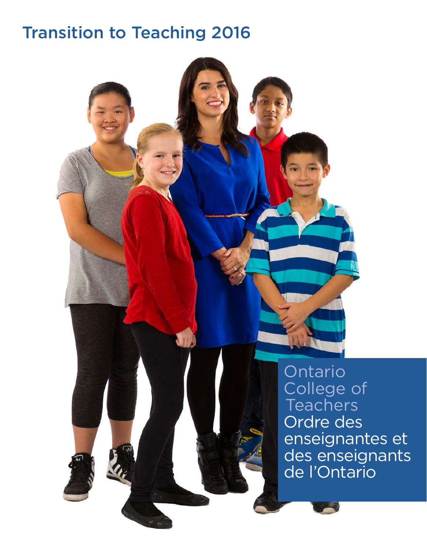# Transition to Teaching 2016

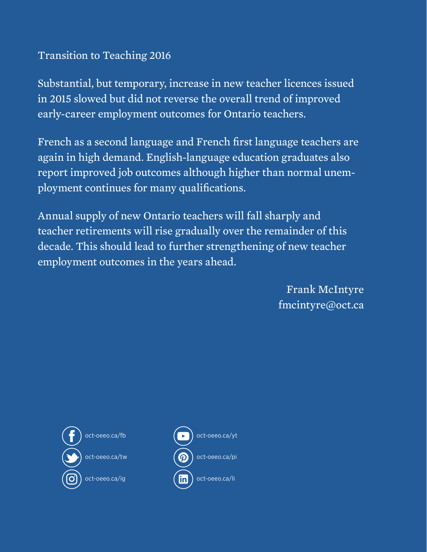### Transition to Teaching 2016

Substantial, but temporary, increase in new teacher licences issued in 2015 slowed but did not reverse the overall trend of improved early-career employment outcomes for Ontario teachers.

French as a second language and French first language teachers are again in high demand. English-language education graduates also report improved job outcomes although higher than normal unemployment continues for many qualifications.

Annual supply of new Ontario teachers will fall sharply and teacher retirements will rise gradually over the remainder of this decade. This should lead to further strengthening of new teacher employment outcomes in the years ahead.

> Frank McIntyre fmcintyre@oct.ca



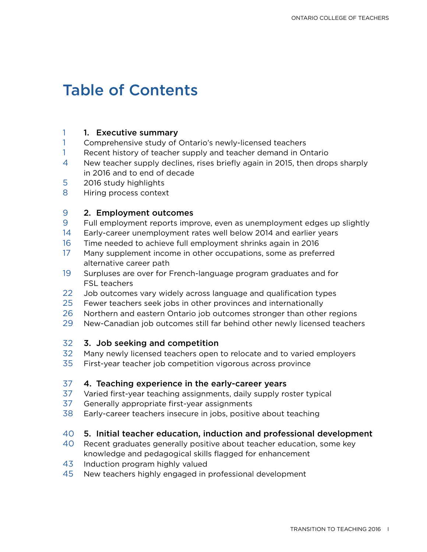### Table of Contents

#### 1 1. [Executive summary](#page-4-0)

- [Comprehensive study of Ontario's newly-licensed teachers](#page-4-0)
- [Recent history of teacher supply and teacher demand in Ontario](#page-4-0)
- [New teacher supply declines, rises briefly again in 2015, then drops sharply](#page-7-0)  [in 2016 and to end of decade](#page-7-0)
- [2016 study highlights](#page-8-0)
- [Hiring process context](#page-11-0)

#### 2. [Employment outcomes](#page-12-0)

- [Full employment reports improve, even as unemployment edges up slightly](#page-12-0)
- [Early-career unemployment rates well below 2014 and earlier years](#page-17-0)
- [Time needed to achieve full employment shrinks again in 2016](#page-19-0)
- [Many supplement income in other occupations, some as preferred](#page-20-0)  [alternative career path](#page-20-0)
- [Surpluses are over for French-language program graduates and for](#page-22-0)  [FSL teachers](#page-22-0)
- 22 Job outcomes vary widely across language and qualification types
- [Fewer teachers seek jobs in other provinces and internationally](#page-28-0)
- [Northern and eastern Ontario job outcomes stronger than other regions](#page-29-0)
- [New-Canadian job outcomes still far behind other newly licensed teachers](#page-32-0)

#### 3. [Job seeking and competition](#page-35-0)

- [Many newly licensed teachers open to relocate and to varied employers](#page-35-0)
- [First-year teacher job competition vigorous across province](#page-38-0)

#### 4. [Teaching experience in the early-career years](#page-40-0)

- [Varied first-year teaching assignments, daily supply roster typical](#page-40-0)
- [Generally appropriate first-year assignments](#page-40-0)
- [Early-career teachers insecure in jobs, positive about teaching](#page-41-0)

#### 5. [Initial teacher education, induction and professional development](#page-43-0)

- [Recent graduates generally positive about teacher education, some key](#page-43-0)  [knowledge and pedagogical skills flagged for enhancement](#page-43-0)
- [Induction program highly valued](#page-46-0)
- [New teachers highly engaged in professional development](#page-48-0)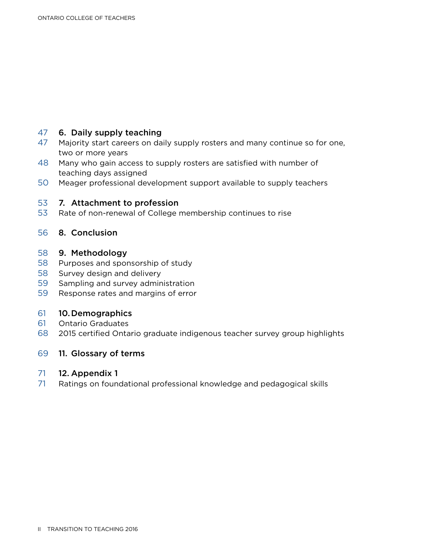#### 6. [Daily supply teaching](#page-50-0)

- [Majority start careers on daily supply rosters and many continue so for one,](#page-50-0)  [two or more years](#page-50-0)
- 48 Many who gain access to supply rosters are satisfied with number of [teaching days assigned](#page-51-0)
- [Meager professional development support available to supply teachers](#page-53-0)

#### 7. [Attachment to profession](#page-56-0)

[Rate of non-renewal of College membership continues to rise](#page-56-0)

#### 8. [Conclusion](#page-59-0)

#### 9. [Methodology](#page-61-0)

- [Purposes and sponsorship of study](#page-61-0)
- [Survey design and delivery](#page-61-0)
- [Sampling and survey administration](#page-62-0)
- [Response rates and margins of error](#page-62-0)

#### [10.Demographics](#page-64-0)

- [Ontario Graduates](#page-64-0)
- [2015 certified Ontario graduate indigenous teacher survey group highlights](#page-71-0)

#### 11. [Glossary of terms](#page-72-0)

#### 12. [Appendix 1](#page-74-0)

[Ratings on foundational professional knowledge and pedagogical skills](#page-74-0)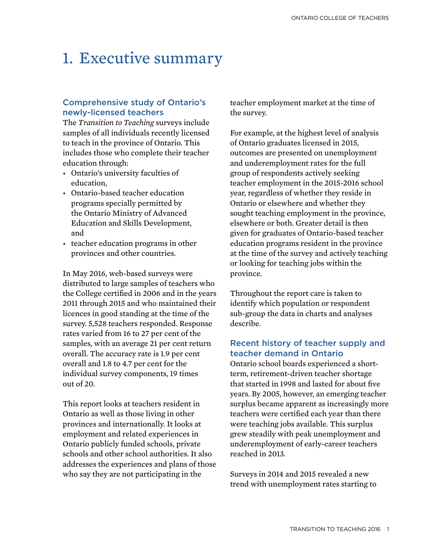### <span id="page-4-0"></span>1. Executive summary

#### Comprehensive study of Ontario's newly-licensed teachers

The *Transition to Teaching* surveys include samples of all individuals recently licensed to teach in the province of Ontario. This includes those who complete their teacher education through:

- Ontario's university faculties of education,
- Ontario-based teacher education programs specially permitted by the Ontario Ministry of Advanced Education and Skills Development, and
- teacher education programs in other provinces and other countries.

In May 2016, web-based surveys were distributed to large samples of teachers who the College certified in 2006 and in the years 2011 through 2015 and who maintained their licences in good standing at the time of the survey. 5,528 teachers responded. Response rates varied from 16 to 27 per cent of the samples, with an average 21 per cent return overall. The accuracy rate is 1.9 per cent overall and 1.8 to 4.7 per cent for the individual survey components, 19 times out of 20.

This report looks at teachers resident in Ontario as well as those living in other provinces and internationally. It looks at employment and related experiences in Ontario publicly funded schools, private schools and other school authorities. It also addresses the experiences and plans of those who say they are not participating in the

teacher employment market at the time of the survey.

For example, at the highest level of analysis of Ontario graduates licensed in 2015, outcomes are presented on unemployment and underemployment rates for the full group of respondents actively seeking teacher employment in the 2015-2016 school year, regardless of whether they reside in Ontario or elsewhere and whether they sought teaching employment in the province, elsewhere or both. Greater detail is then given for graduates of Ontario-based teacher education programs resident in the province at the time of the survey and actively teaching or looking for teaching jobs within the province.

Throughout the report care is taken to identify which population or respondent sub-group the data in charts and analyses describe.

#### Recent history of teacher supply and teacher demand in Ontario

Ontario school boards experienced a shortterm, retirement-driven teacher shortage that started in 1998 and lasted for about five years. By 2005, however, an emerging teacher surplus became apparent as increasingly more teachers were certified each year than there were teaching jobs available. This surplus grew steadily with peak unemployment and underemployment of early-career teachers reached in 2013.

Surveys in 2014 and 2015 revealed a new trend with unemployment rates starting to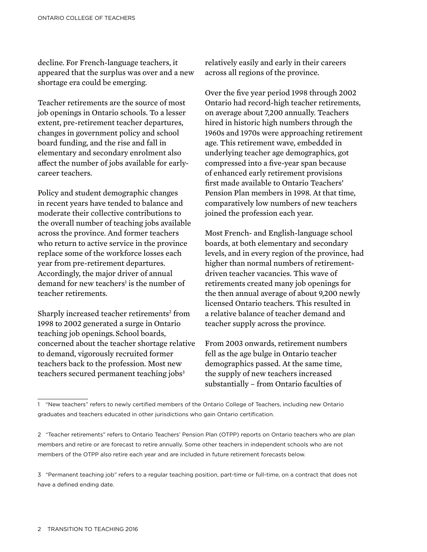decline. For French-language teachers, it appeared that the surplus was over and a new shortage era could be emerging.

Teacher retirements are the source of most job openings in Ontario schools. To a lesser extent, pre-retirement teacher departures, changes in government policy and school board funding, and the rise and fall in elementary and secondary enrolment also affect the number of jobs available for earlycareer teachers.

Policy and student demographic changes in recent years have tended to balance and moderate their collective contributions to the overall number of teaching jobs available across the province. And former teachers who return to active service in the province replace some of the workforce losses each year from pre-retirement departures. Accordingly, the major driver of annual demand for new teachers<sup>1</sup> is the number of teacher retirements.

Sharply increased teacher retirements<sup>2</sup> from 1998 to 2002 generated a surge in Ontario teaching job openings.School boards, concerned about the teacher shortage relative to demand, vigorously recruited former teachers back to the profession. Most new teachers secured permanent teaching jobs<sup>3</sup>

relatively easily and early in their careers across all regions of the province.

Over the five year period 1998 through 2002 Ontario had record-high teacher retirements, on average about 7,200 annually. Teachers hired in historic high numbers through the 1960s and 1970s were approaching retirement age. This retirement wave, embedded in underlying teacher age demographics, got compressed into a five-year span because of enhanced early retirement provisions first made available to Ontario Teachers' Pension Plan members in 1998. At that time, comparatively low numbers of new teachers joined the profession each year.

Most French- and English-language school boards, at both elementary and secondary levels, and in every region of the province, had higher than normal numbers of retirementdriven teacher vacancies. This wave of retirements created many job openings for the then annual average of about 9,200 newly licensed Ontario teachers. This resulted in a relative balance of teacher demand and teacher supply across the province.

From 2003 onwards, retirement numbers fell as the age bulge in Ontario teacher demographics passed. At the same time, the supply of new teachers increased substantially – from Ontario faculties of

<sup>1 &</sup>quot;New teachers" refers to newly certified members of the Ontario College of Teachers, including new Ontario graduates and teachers educated in other jurisdictions who gain Ontario certification.

<sup>2 &</sup>quot;Teacher retirements" refers to Ontario Teachers' Pension Plan (OTPP) reports on Ontario teachers who are plan members and retire or are forecast to retire annually. Some other teachers in independent schools who are not members of the OTPP also retire each year and are included in future retirement forecasts below.

<sup>3 &</sup>quot;Permanent teaching job" refers to a regular teaching position, part-time or full-time, on a contract that does not have a defined ending date.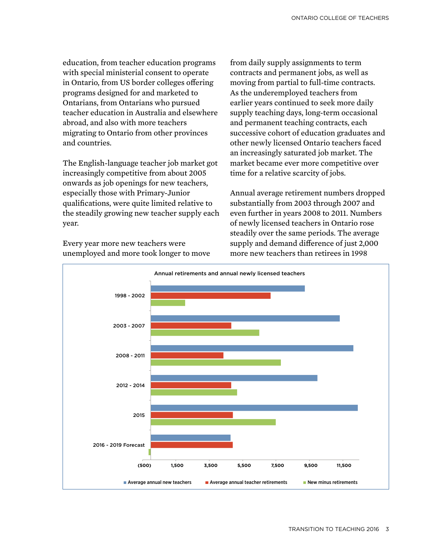education, from teacher education programs with special ministerial consent to operate in Ontario, from US border colleges offering programs designed for and marketed to Ontarians, from Ontarians who pursued teacher education in Australia and elsewhere abroad, and also with more teachers migrating to Ontario from other provinces and countries.

The English-language teacher job market got increasingly competitive from about 2005 onwards as job openings for new teachers, especially those with Primary-Junior qualifications, were quite limited relative to the steadily growing new teacher supply each year.

Every year more new teachers were unemployed and more took longer to move from daily supply assignments to term contracts and permanent jobs, as well as moving from partial to full-time contracts. As the underemployed teachers from earlier years continued to seek more daily supply teaching days, long-term occasional and permanent teaching contracts, each successive cohort of education graduates and other newly licensed Ontario teachers faced an increasingly saturated job market. The market became ever more competitive over time for a relative scarcity of jobs.

Annual average retirement numbers dropped substantially from 2003 through 2007 and even further in years 2008 to 2011. Numbers of newly licensed teachers in Ontario rose steadily over the same periods. The average supply and demand difference of just 2,000 more new teachers than retirees in 1998

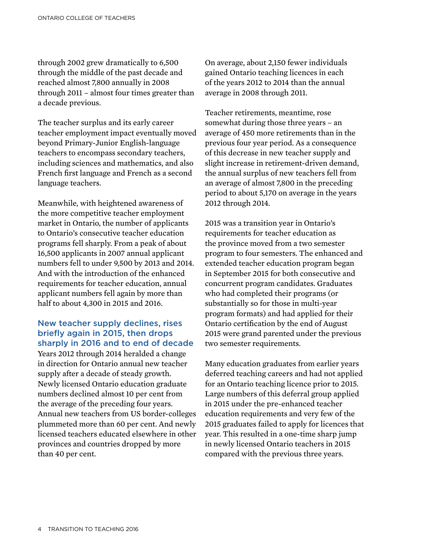<span id="page-7-0"></span>through 2002 grew dramatically to 6,500 through the middle of the past decade and reached almost 7,800 annually in 2008 through 2011 – almost four times greater than a decade previous.

The teacher surplus and its early career teacher employment impact eventually moved beyond Primary-Junior English-language teachers to encompass secondary teachers, including sciences and mathematics, and also French first language and French as a second language teachers.

Meanwhile, with heightened awareness of the more competitive teacher employment market in Ontario, the number of applicants to Ontario's consecutive teacher education programs fell sharply. From a peak of about 16,500 applicants in 2007 annual applicant numbers fell to under 9,500 by 2013 and 2014. And with the introduction of the enhanced requirements for teacher education, annual applicant numbers fell again by more than half to about 4,300 in 2015 and 2016.

#### New teacher supply declines, rises briefly again in 2015, then drops sharply in 2016 and to end of decade

Years 2012 through 2014 heralded a change in direction for Ontario annual new teacher supply after a decade of steady growth. Newly licensed Ontario education graduate numbers declined almost 10 per cent from the average of the preceding four years. Annual new teachers from US border-colleges plummeted more than 60 per cent. And newly licensed teachers educated elsewhere in other provinces and countries dropped by more than 40 per cent.

On average, about 2,150 fewer individuals gained Ontario teaching licences in each of the years 2012 to 2014 than the annual average in 2008 through 2011.

Teacher retirements, meantime, rose somewhat during those three years – an average of 450 more retirements than in the previous four year period. As a consequence of this decrease in new teacher supply and slight increase in retirement-driven demand, the annual surplus of new teachers fell from an average of almost 7,800 in the preceding period to about 5,170 on average in the years 2012 through 2014.

2015 was a transition year in Ontario's requirements for teacher education as the province moved from a two semester program to four semesters. The enhanced and extended teacher education program began in September 2015 for both consecutive and concurrent program candidates. Graduates who had completed their programs (or substantially so for those in multi-year program formats) and had applied for their Ontario certification by the end of August 2015 were grand parented under the previous two semester requirements.

Many education graduates from earlier years deferred teaching careers and had not applied for an Ontario teaching licence prior to 2015. Large numbers of this deferral group applied in 2015 under the pre-enhanced teacher education requirements and very few of the 2015 graduates failed to apply for licences that year. This resulted in a one-time sharp jump in newly licensed Ontario teachers in 2015 compared with the previous three years.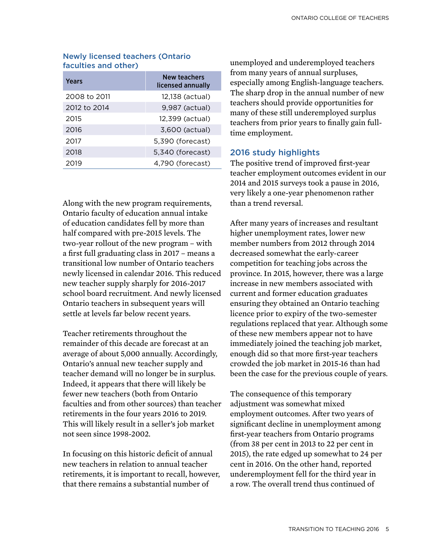| Years        | New teachers<br>licensed annually |
|--------------|-----------------------------------|
| 2008 to 2011 | 12,138 (actual)                   |
| 2012 to 2014 | 9,987 (actual)                    |
| 2015         | 12,399 (actual)                   |
| 2016         | 3,600 (actual)                    |
| 2017         | 5,390 (forecast)                  |
| 2018         | 5,340 (forecast)                  |
| 2019         | 4,790 (forecast)                  |

#### <span id="page-8-0"></span>Newly licensed teachers (Ontario faculties and other)

Along with the new program requirements, Ontario faculty of education annual intake of education candidates fell by more than half compared with pre-2015 levels. The two-year rollout of the new program – with a first full graduating class in 2017 – means a transitional low number of Ontario teachers newly licensed in calendar 2016. This reduced new teacher supply sharply for 2016-2017 school board recruitment. And newly licensed Ontario teachers in subsequent years will settle at levels far below recent years.

Teacher retirements throughout the remainder of this decade are forecast at an average of about 5,000 annually. Accordingly, Ontario's annual new teacher supply and teacher demand will no longer be in surplus. Indeed, it appears that there will likely be fewer new teachers (both from Ontario faculties and from other sources) than teacher retirements in the four years 2016 to 2019. This will likely result in a seller's job market not seen since 1998-2002.

In focusing on this historic deficit of annual new teachers in relation to annual teacher retirements, it is important to recall, however, that there remains a substantial number of

unemployed and underemployed teachers from many years of annual surpluses, especially among English-language teachers. The sharp drop in the annual number of new teachers should provide opportunities for many of these still underemployed surplus teachers from prior years to finally gain fulltime employment.

#### 2016 study highlights

The positive trend of improved first-year teacher employment outcomes evident in our 2014 and 2015 surveys took a pause in 2016, very likely a one-year phenomenon rather than a trend reversal.

After many years of increases and resultant higher unemployment rates, lower new member numbers from 2012 through 2014 decreased somewhat the early-career competition for teaching jobs across the province. In 2015, however, there was a large increase in new members associated with current and former education graduates ensuring they obtained an Ontario teaching licence prior to expiry of the two-semester regulations replaced that year. Although some of these new members appear not to have immediately joined the teaching job market, enough did so that more first-year teachers crowded the job market in 2015-16 than had been the case for the previous couple of years.

The consequence of this temporary adjustment was somewhat mixed employment outcomes. After two years of significant decline in unemployment among first-year teachers from Ontario programs (from 38 per cent in 2013 to 22 per cent in 2015), the rate edged up somewhat to 24 per cent in 2016. On the other hand, reported underemployment fell for the third year in a row. The overall trend thus continued of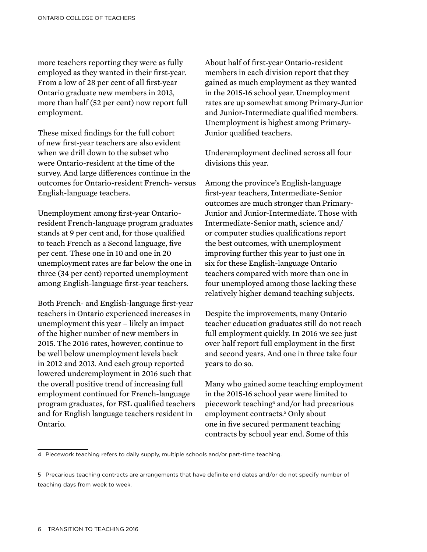more teachers reporting they were as fully employed as they wanted in their first-year. From a low of 28 per cent of all first-year Ontario graduate new members in 2013, more than half (52 per cent) now report full employment.

These mixed findings for the full cohort of new first-year teachers are also evident when we drill down to the subset who were Ontario-resident at the time of the survey. And large differences continue in the outcomes for Ontario-resident French- versus English-language teachers.

Unemployment among first-year Ontarioresident French-language program graduates stands at 9 per cent and, for those qualified to teach French as a Second language, five per cent. These one in 10 and one in 20 unemployment rates are far below the one in three (34 per cent) reported unemployment among English-language first-year teachers.

Both French- and English-language first-year teachers in Ontario experienced increases in unemployment this year – likely an impact of the higher number of new members in 2015. The 2016 rates, however, continue to be well below unemployment levels back in 2012 and 2013. And each group reported lowered underemployment in 2016 such that the overall positive trend of increasing full employment continued for French-language program graduates, for FSL qualified teachers and for English language teachers resident in Ontario.

About half of first-year Ontario-resident members in each division report that they gained as much employment as they wanted in the 2015-16 school year. Unemployment rates are up somewhat among Primary-Junior and Junior-Intermediate qualified members. Unemployment is highest among Primary-Junior qualified teachers.

Underemployment declined across all four divisions this year.

Among the province's English-language first-year teachers, Intermediate-Senior outcomes are much stronger than Primary-Junior and Junior-Intermediate. Those with Intermediate-Senior math, science and/ or computer studies qualifications report the best outcomes, with unemployment improving further this year to just one in six for these English-language Ontario teachers compared with more than one in four unemployed among those lacking these relatively higher demand teaching subjects.

Despite the improvements, many Ontario teacher education graduates still do not reach full employment quickly. In 2016 we see just over half report full employment in the first and second years. And one in three take four years to do so.

Many who gained some teaching employment in the 2015-16 school year were limited to piecework teaching4 and/or had precarious employment contracts.5 Only about one in five secured permanent teaching contracts by school year end. Some of this

<sup>4</sup> Piecework teaching refers to daily supply, multiple schools and/or part-time teaching.

<sup>5</sup> Precarious teaching contracts are arrangements that have definite end dates and/or do not specify number of teaching days from week to week.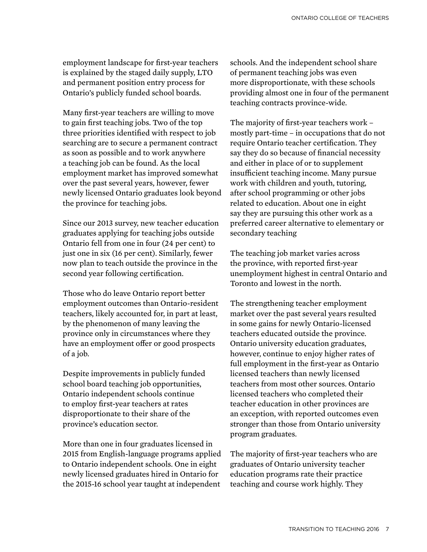employment landscape for first-year teachers is explained by the staged daily supply, LTO and permanent position entry process for Ontario's publicly funded school boards.

Many first-year teachers are willing to move to gain first teaching jobs. Two of the top three priorities identified with respect to job searching are to secure a permanent contract as soon as possible and to work anywhere a teaching job can be found. As the local employment market has improved somewhat over the past several years, however, fewer newly licensed Ontario graduates look beyond the province for teaching jobs.

Since our 2013 survey, new teacher education graduates applying for teaching jobs outside Ontario fell from one in four (24 per cent) to just one in six (16 per cent). Similarly, fewer now plan to teach outside the province in the second year following certification.

Those who do leave Ontario report better employment outcomes than Ontario-resident teachers, likely accounted for, in part at least, by the phenomenon of many leaving the province only in circumstances where they have an employment offer or good prospects of a job.

Despite improvements in publicly funded school board teaching job opportunities, Ontario independent schools continue to employ first-year teachers at rates disproportionate to their share of the province's education sector.

More than one in four graduates licensed in 2015 from English-language programs applied to Ontario independent schools. One in eight newly licensed graduates hired in Ontario for the 2015-16 school year taught at independent

schools. And the independent school share of permanent teaching jobs was even more disproportionate, with these schools providing almost one in four of the permanent teaching contracts province-wide.

The majority of first-year teachers work – mostly part-time – in occupations that do not require Ontario teacher certification. They say they do so because of financial necessity and either in place of or to supplement insufficient teaching income. Many pursue work with children and youth, tutoring, after school programming or other jobs related to education. About one in eight say they are pursuing this other work as a preferred career alternative to elementary or secondary teaching

The teaching job market varies across the province, with reported first-year unemployment highest in central Ontario and Toronto and lowest in the north.

The strengthening teacher employment market over the past several years resulted in some gains for newly Ontario-licensed teachers educated outside the province. Ontario university education graduates, however, continue to enjoy higher rates of full employment in the first-year as Ontario licensed teachers than newly licensed teachers from most other sources. Ontario licensed teachers who completed their teacher education in other provinces are an exception, with reported outcomes even stronger than those from Ontario university program graduates.

The majority of first-year teachers who are graduates of Ontario university teacher education programs rate their practice teaching and course work highly. They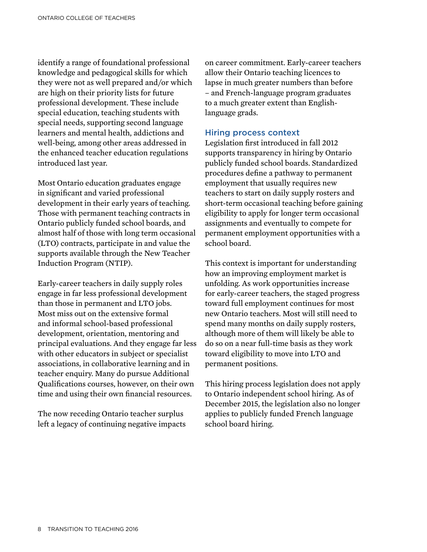<span id="page-11-0"></span>identify a range of foundational professional knowledge and pedagogical skills for which they were not as well prepared and/or which are high on their priority lists for future professional development. These include special education, teaching students with special needs, supporting second language learners and mental health, addictions and well-being, among other areas addressed in the enhanced teacher education regulations introduced last year.

Most Ontario education graduates engage in significant and varied professional development in their early years of teaching. Those with permanent teaching contracts in Ontario publicly funded school boards, and almost half of those with long term occasional (LTO) contracts, participate in and value the supports available through the New Teacher Induction Program (NTIP).

Early-career teachers in daily supply roles engage in far less professional development than those in permanent and LTO jobs. Most miss out on the extensive formal and informal school-based professional development, orientation, mentoring and principal evaluations. And they engage far less with other educators in subject or specialist associations, in collaborative learning and in teacher enquiry. Many do pursue Additional Qualifications courses, however, on their own time and using their own financial resources.

The now receding Ontario teacher surplus left a legacy of continuing negative impacts on career commitment. Early-career teachers allow their Ontario teaching licences to lapse in much greater numbers than before – and French-language program graduates to a much greater extent than Englishlanguage grads.

#### Hiring process context

Legislation first introduced in fall 2012 supports transparency in hiring by Ontario publicly funded school boards. Standardized procedures define a pathway to permanent employment that usually requires new teachers to start on daily supply rosters and short-term occasional teaching before gaining eligibility to apply for longer term occasional assignments and eventually to compete for permanent employment opportunities with a school board.

This context is important for understanding how an improving employment market is unfolding. As work opportunities increase for early-career teachers, the staged progress toward full employment continues for most new Ontario teachers. Most will still need to spend many months on daily supply rosters, although more of them will likely be able to do so on a near full-time basis as they work toward eligibility to move into LTO and permanent positions.

This hiring process legislation does not apply to Ontario independent school hiring. As of December 2015, the legislation also no longer applies to publicly funded French language school board hiring.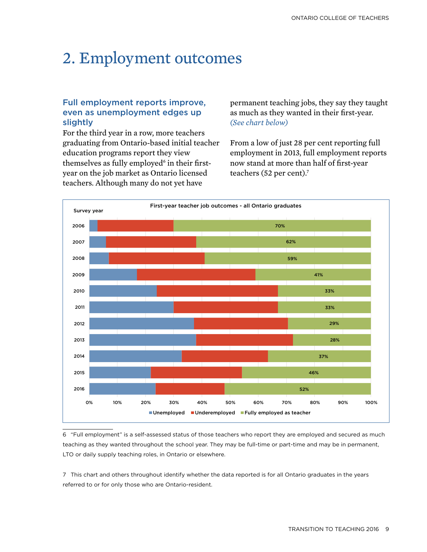### <span id="page-12-0"></span>2. Employment outcomes

#### Full employment reports improve, even as unemployment edges up slightly

For the third year in a row, more teachers graduating from Ontario-based initial teacher education programs report they view themselves as fully employed $6$  in their firstyear on the job market as Ontario licensed teachers. Although many do not yet have

permanent teaching jobs, they say they taught as much as they wanted in their first-year. *(See chart below)*

From a low of just 28 per cent reporting full employment in 2013, full employment reports now stand at more than half of first-year teachers (52 per cent).<sup>7</sup>



6 "Full employment" is a self-assessed status of those teachers who report they are employed and secured as much teaching as they wanted throughout the school year. They may be full-time or part-time and may be in permanent, LTO or daily supply teaching roles, in Ontario or elsewhere.

7 This chart and others throughout identify whether the data reported is for all Ontario graduates in the years referred to or for only those who are Ontario-resident.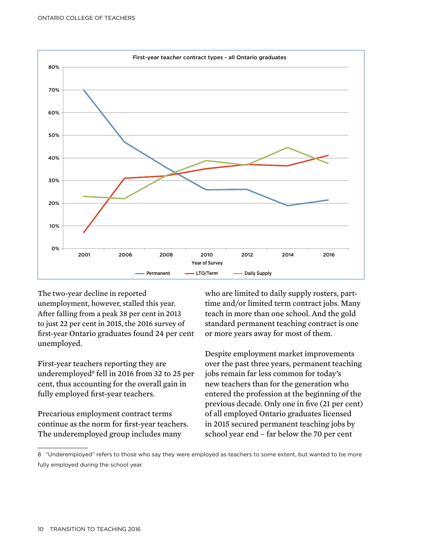

The two-year decline in reported unemployment, however, stalled this year. After falling from a peak 38 per cent in 2013 to just 22 per cent in 2015, the 2016 survey of first-year Ontario graduates found 24 per cent unemployed.

First-year teachers reporting they are underemployed<sup>8</sup> fell in 2016 from 32 to 25 per cent, thus accounting for the overall gain in fully employed first-year teachers.

Precarious employment contract terms continue as the norm for first-year teachers. The underemployed group includes many

who are limited to daily supply rosters, parttime and/or limited term contract jobs. Many teach in more than one school. And the gold standard permanent teaching contract is one or more years away for most of them.

Despite employment market improvements over the past three years, permanent teaching jobs remain far less common for today's new teachers than for the generation who entered the profession at the beginning of the previous decade. Only one in five (21 per cent) of all employed Ontario graduates licensed in 2015 secured permanent teaching jobs by school year end – far below the 70 per cent

<sup>8 &</sup>quot;Underemployed" refers to those who say they were employed as teachers to some extent, but wanted to be more fully employed during the school year.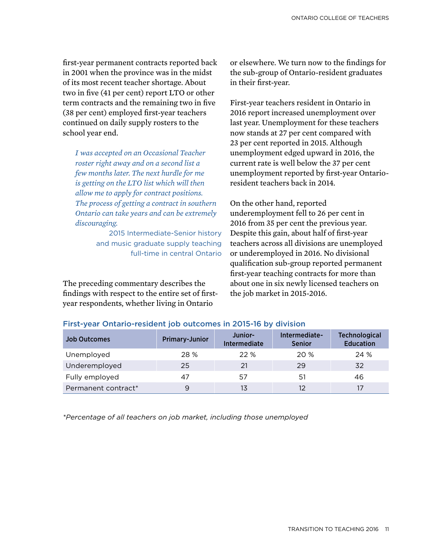first-year permanent contracts reported back in 2001 when the province was in the midst of its most recent teacher shortage. About two in five (41 per cent) report LTO or other term contracts and the remaining two in five (38 per cent) employed first-year teachers continued on daily supply rosters to the school year end.

*I was accepted on an Occasional Teacher roster right away and on a second list a few months later. The next hurdle for me is getting on the LTO list which will then allow me to apply for contract positions. The process of getting a contract in southern Ontario can take years and can be extremely discouraging.* 

> 2015 Intermediate-Senior history and music graduate supply teaching full-time in central Ontario

The preceding commentary describes the findings with respect to the entire set of firstyear respondents, whether living in Ontario

or elsewhere. We turn now to the findings for the sub-group of Ontario-resident graduates in their first-year.

First-year teachers resident in Ontario in 2016 report increased unemployment over last year. Unemployment for these teachers now stands at 27 per cent compared with 23 per cent reported in 2015. Although unemployment edged upward in 2016, the current rate is well below the 37 per cent unemployment reported by first-year Ontarioresident teachers back in 2014.

On the other hand, reported underemployment fell to 26 per cent in 2016 from 35 per cent the previous year. Despite this gain, about half of first-year teachers across all divisions are unemployed or underemployed in 2016. No divisional qualification sub-group reported permanent first-year teaching contracts for more than about one in six newly licensed teachers on the job market in 2015-2016.

| <b>Job Outcomes</b> | <b>Primary-Junior</b> | Junior-<br>Intermediate | Intermediate-<br><b>Senior</b> | <b>Technological</b><br><b>Education</b> |
|---------------------|-----------------------|-------------------------|--------------------------------|------------------------------------------|
| Unemployed          | 28 %                  | 22%                     | 20 %                           | 24 %                                     |
| Underemployed       | 25                    | 21                      | 29                             | 32                                       |
| Fully employed      | 47                    | 57                      | 51                             | 46                                       |
| Permanent contract* | 9                     | 13                      |                                |                                          |

#### First-year Ontario-resident job outcomes in 2015-16 by division

*\*Percentage of all teachers on job market, including those unemployed*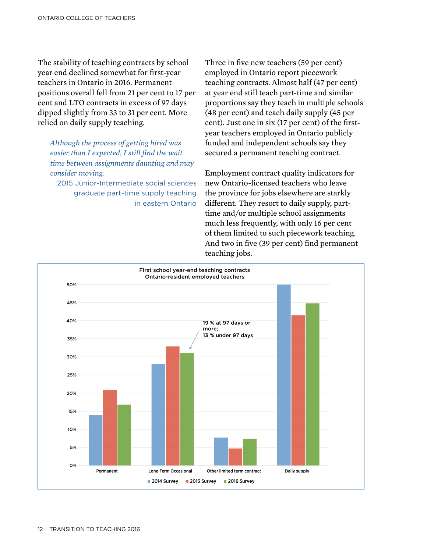The stability of teaching contracts by school year end declined somewhat for first-year teachers in Ontario in 2016. Permanent positions overall fell from 21 per cent to 17 per cent and LTO contracts in excess of 97 days dipped slightly from 33 to 31 per cent. More relied on daily supply teaching.

*Although the process of getting hired was easier than I expected, I still find the wait time between assignments daunting and may consider moving.*

2015 Junior-Intermediate social sciences graduate part-time supply teaching in eastern Ontario

Three in five new teachers (59 per cent) employed in Ontario report piecework teaching contracts. Almost half (47 per cent) at year end still teach part-time and similar proportions say they teach in multiple schools (48 per cent) and teach daily supply (45 per cent). Just one in six (17 per cent) of the firstyear teachers employed in Ontario publicly funded and independent schools say they secured a permanent teaching contract.

Employment contract quality indicators for new Ontario-licensed teachers who leave the province for jobs elsewhere are starkly different. They resort to daily supply, parttime and/or multiple school assignments much less frequently, with only 16 per cent of them limited to such piecework teaching. And two in five (39 per cent) find permanent teaching jobs.

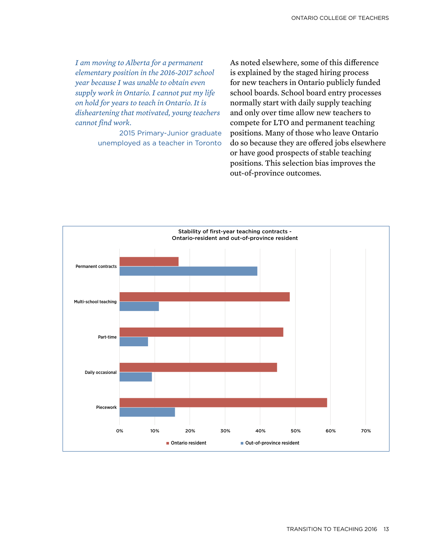*I am moving to Alberta for a permanent elementary position in the 2016-2017 school year because I was unable to obtain even supply work in Ontario. I cannot put my life on hold for years to teach in Ontario. It is disheartening that motivated, young teachers cannot find work.* 

> 2015 Primary-Junior graduate unemployed as a teacher in Toronto

As noted elsewhere, some of this difference is explained by the staged hiring process for new teachers in Ontario publicly funded school boards. School board entry processes normally start with daily supply teaching and only over time allow new teachers to compete for LTO and permanent teaching positions. Many of those who leave Ontario do so because they are offered jobs elsewhere or have good prospects of stable teaching positions. This selection bias improves the out-of-province outcomes.

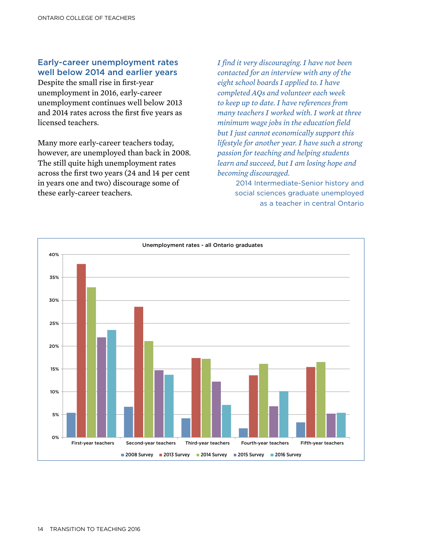#### <span id="page-17-0"></span>Early-career unemployment rates well below 2014 and earlier years

Despite the small rise in first-year unemployment in 2016, early-career unemployment continues well below 2013 and 2014 rates across the first five years as licensed teachers.

Many more early-career teachers today, however, are unemployed than back in 2008. The still quite high unemployment rates across the first two years (24 and 14 per cent in years one and two) discourage some of these early-career teachers.

*I find it very discouraging. I have not been contacted for an interview with any of the eight school boards I applied to. I have completed AQs and volunteer each week to keep up to date. I have references from many teachers I worked with. I work at three minimum wage jobs in the education field but I just cannot economically support this lifestyle for another year. I have such a strong passion for teaching and helping students learn and succeed, but I am losing hope and becoming discouraged.*

> 2014 Intermediate-Senior history and social sciences graduate unemployed as a teacher in central Ontario

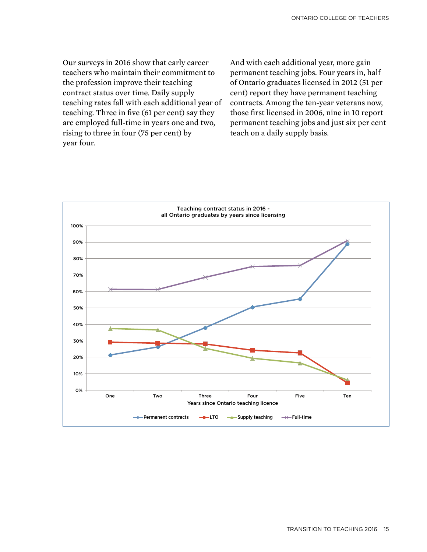Our surveys in 2016 show that early career teachers who maintain their commitment to the profession improve their teaching contract status over time. Daily supply teaching rates fall with each additional year of teaching. Three in five (61 per cent) say they are employed full-time in years one and two, rising to three in four (75 per cent) by year four.

And with each additional year, more gain permanent teaching jobs. Four years in, half of Ontario graduates licensed in 2012 (51 per cent) report they have permanent teaching contracts. Among the ten-year veterans now, those first licensed in 2006, nine in 10 report permanent teaching jobs and just six per cent teach on a daily supply basis.

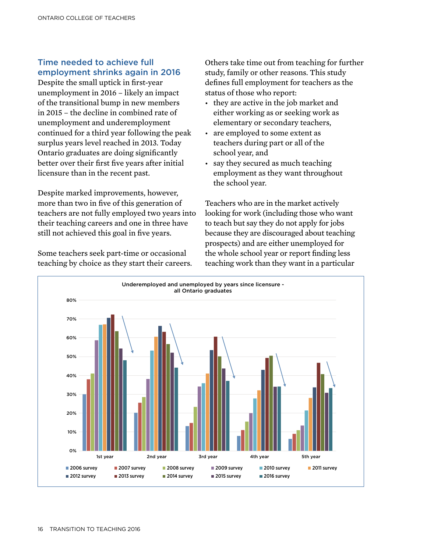#### <span id="page-19-0"></span>Time needed to achieve full employment shrinks again in 2016

Despite the small uptick in first-year unemployment in 2016 – likely an impact of the transitional bump in new members in 2015 – the decline in combined rate of unemployment and underemployment continued for a third year following the peak surplus years level reached in 2013. Today Ontario graduates are doing significantly better over their first five years after initial licensure than in the recent past.

Despite marked improvements, however, more than two in five of this generation of teachers are not fully employed two years into their teaching careers and one in three have still not achieved this goal in five years.

Some teachers seek part-time or occasional teaching by choice as they start their careers. Others take time out from teaching for further study, family or other reasons. This study defines full employment for teachers as the status of those who report:

- they are active in the job market and either working as or seeking work as elementary or secondary teachers,
- are employed to some extent as teachers during part or all of the school year, and
- say they secured as much teaching employment as they want throughout the school year.

Teachers who are in the market actively looking for work (including those who want to teach but say they do not apply for jobs because they are discouraged about teaching prospects) and are either unemployed for the whole school year or report finding less teaching work than they want in a particular

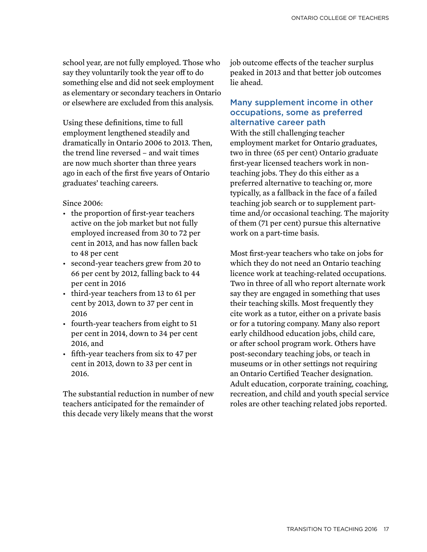<span id="page-20-0"></span>school year, are not fully employed. Those who say they voluntarily took the year off to do something else and did not seek employment as elementary or secondary teachers in Ontario or elsewhere are excluded from this analysis.

Using these definitions, time to full employment lengthened steadily and dramatically in Ontario 2006 to 2013. Then, the trend line reversed – and wait times are now much shorter than three years ago in each of the first five years of Ontario graduates' teaching careers.

Since 2006:

- the proportion of first-year teachers active on the job market but not fully employed increased from 30 to 72 per cent in 2013, and has now fallen back to 48 per cent
- second-year teachers grew from 20 to 66 per cent by 2012, falling back to 44 per cent in 2016
- third-year teachers from 13 to 61 per cent by 2013, down to 37 per cent in 2016
- fourth-year teachers from eight to 51 per cent in 2014, down to 34 per cent 2016, and
- fifth-year teachers from six to 47 per cent in 2013, down to 33 per cent in 2016.

The substantial reduction in number of new teachers anticipated for the remainder of this decade very likely means that the worst

job outcome effects of the teacher surplus peaked in 2013 and that better job outcomes lie ahead.

#### Many supplement income in other occupations, some as preferred alternative career path

With the still challenging teacher employment market for Ontario graduates, two in three (65 per cent) Ontario graduate first-year licensed teachers work in nonteaching jobs. They do this either as a preferred alternative to teaching or, more typically, as a fallback in the face of a failed teaching job search or to supplement parttime and/or occasional teaching. The majority of them (71 per cent) pursue this alternative work on a part-time basis.

Most first-year teachers who take on jobs for which they do not need an Ontario teaching licence work at teaching-related occupations. Two in three of all who report alternate work say they are engaged in something that uses their teaching skills. Most frequently they cite work as a tutor, either on a private basis or for a tutoring company. Many also report early childhood education jobs, child care, or after school program work. Others have post-secondary teaching jobs, or teach in museums or in other settings not requiring an Ontario Certified Teacher designation. Adult education, corporate training, coaching, recreation, and child and youth special service roles are other teaching related jobs reported.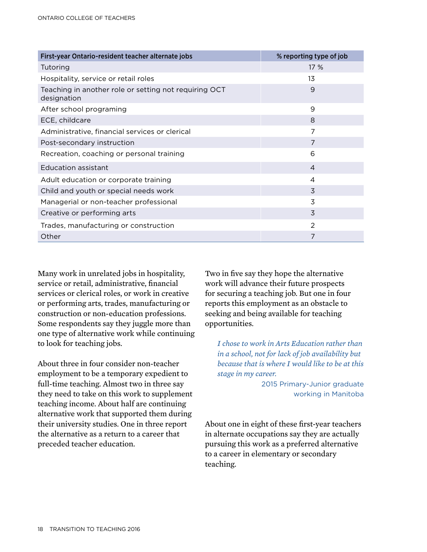| First-year Ontario-resident teacher alternate jobs                   | % reporting type of job |
|----------------------------------------------------------------------|-------------------------|
| Tutoring                                                             | 17%                     |
| Hospitality, service or retail roles                                 | 13                      |
| Teaching in another role or setting not requiring OCT<br>designation | 9                       |
| After school programing                                              | 9                       |
| ECE, childcare                                                       | 8                       |
| Administrative, financial services or clerical                       | 7                       |
| Post-secondary instruction                                           | 7                       |
| Recreation, coaching or personal training                            | 6                       |
| Education assistant                                                  | $\overline{4}$          |
| Adult education or corporate training                                | 4                       |
| Child and youth or special needs work                                | 3                       |
| Managerial or non-teacher professional                               | 3                       |
| Creative or performing arts                                          | 3                       |
| Trades, manufacturing or construction                                | $\overline{2}$          |
| Other                                                                | 7                       |

Many work in unrelated jobs in hospitality, service or retail, administrative, financial services or clerical roles, or work in creative or performing arts, trades, manufacturing or construction or non-education professions. Some respondents say they juggle more than one type of alternative work while continuing to look for teaching jobs.

About three in four consider non-teacher employment to be a temporary expedient to full-time teaching. Almost two in three say they need to take on this work to supplement teaching income. About half are continuing alternative work that supported them during their university studies. One in three report the alternative as a return to a career that preceded teacher education.

Two in five say they hope the alternative work will advance their future prospects for securing a teaching job. But one in four reports this employment as an obstacle to seeking and being available for teaching opportunities.

*I chose to work in Arts Education rather than in a school, not for lack of job availability but because that is where I would like to be at this stage in my career.*

> 2015 Primary-Junior graduate working in Manitoba

About one in eight of these first-year teachers in alternate occupations say they are actually pursuing this work as a preferred alternative to a career in elementary or secondary teaching.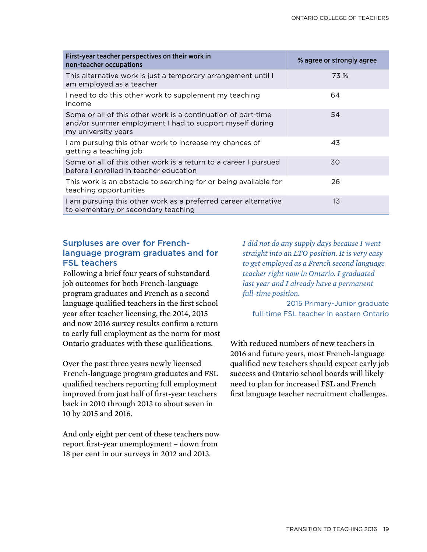<span id="page-22-0"></span>

| First-year teacher perspectives on their work in<br>non-teacher occupations                                                                     | % agree or strongly agree |
|-------------------------------------------------------------------------------------------------------------------------------------------------|---------------------------|
| This alternative work is just a temporary arrangement until I<br>am employed as a teacher                                                       | 73 %                      |
| I need to do this other work to supplement my teaching<br>income                                                                                | 64                        |
| Some or all of this other work is a continuation of part-time<br>and/or summer employment I had to support myself during<br>my university years | 54                        |
| I am pursuing this other work to increase my chances of<br>getting a teaching job                                                               | 43                        |
| Some or all of this other work is a return to a career I pursued<br>before I enrolled in teacher education                                      | 30                        |
| This work is an obstacle to searching for or being available for<br>teaching opportunities                                                      | 26                        |
| I am pursuing this other work as a preferred career alternative<br>to elementary or secondary teaching                                          | 13                        |

#### Surpluses are over for Frenchlanguage program graduates and for FSL teachers

Following a brief four years of substandard job outcomes for both French-language program graduates and French as a second language qualified teachers in the first school year after teacher licensing, the 2014, 2015 and now 2016 survey results confirm a return to early full employment as the norm for most Ontario graduates with these qualifications.

Over the past three years newly licensed French-language program graduates and FSL qualified teachers reporting full employment improved from just half of first-year teachers back in 2010 through 2013 to about seven in 10 by 2015 and 2016.

And only eight per cent of these teachers now report first-year unemployment – down from 18 per cent in our surveys in 2012 and 2013.

*I did not do any supply days because I went straight into an LTO position. It is very easy to get employed as a French second language teacher right now in Ontario. I graduated last year and I already have a permanent full-time position.*

2015 Primary-Junior graduate full-time FSL teacher in eastern Ontario

With reduced numbers of new teachers in 2016 and future years, most French-language qualified new teachers should expect early job success and Ontario school boards will likely need to plan for increased FSL and French first language teacher recruitment challenges.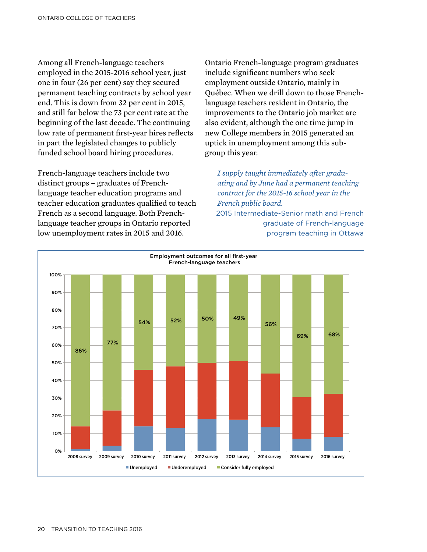Among all French-language teachers employed in the 2015-2016 school year, just one in four (26 per cent) say they secured permanent teaching contracts by school year end. This is down from 32 per cent in 2015, and still far below the 73 per cent rate at the beginning of the last decade. The continuing low rate of permanent first-year hires reflects in part the legislated changes to publicly funded school board hiring procedures.

French-language teachers include two distinct groups – graduates of Frenchlanguage teacher education programs and teacher education graduates qualified to teach French as a second language. Both Frenchlanguage teacher groups in Ontario reported low unemployment rates in 2015 and 2016.

Ontario French-language program graduates include significant numbers who seek employment outside Ontario, mainly in Québec. When we drill down to those Frenchlanguage teachers resident in Ontario, the improvements to the Ontario job market are also evident, although the one time jump in new College members in 2015 generated an uptick in unemployment among this subgroup this year.

*I supply taught immediately after graduating and by June had a permanent teaching contract for the 2015-16 school year in the French public board.*

2015 Intermediate-Senior math and French graduate of French-language program teaching in Ottawa

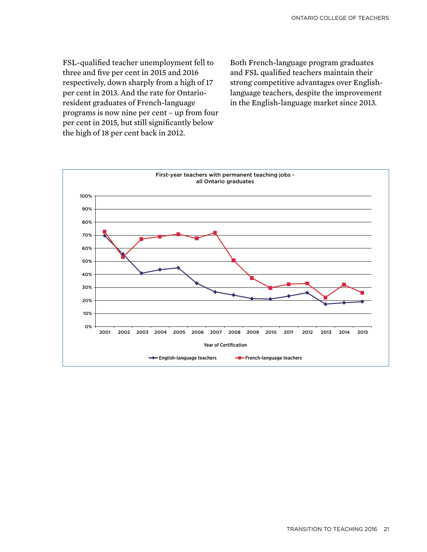FSL-qualified teacher unemployment fell to three and five per cent in 2015 and 2016 respectively, down sharply from a high of 17 per cent in 2013. And the rate for Ontarioresident graduates of French-language programs is now nine per cent – up from four per cent in 2015, but still significantly below the high of 18 per cent back in 2012.

Both French-language program graduates and FSL qualified teachers maintain their strong competitive advantages over Englishlanguage teachers, despite the improvement in the English-language market since 2013.

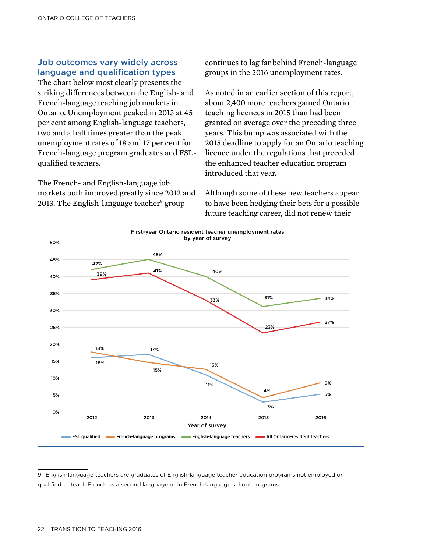#### <span id="page-25-0"></span>Job outcomes vary widely across language and qualification types

The chart below most clearly presents the striking differences between the English- and French-language teaching job markets in Ontario. Unemployment peaked in 2013 at 45 per cent among English-language teachers, two and a half times greater than the peak unemployment rates of 18 and 17 per cent for French-language program graduates and FSLqualified teachers.

The French- and English-language job markets both improved greatly since 2012 and 2013. The English-language teacher<sup>9</sup> group

continues to lag far behind French-language groups in the 2016 unemployment rates.

As noted in an earlier section of this report, about 2,400 more teachers gained Ontario teaching licences in 2015 than had been granted on average over the preceding three years. This bump was associated with the 2015 deadline to apply for an Ontario teaching licence under the regulations that preceded the enhanced teacher education program introduced that year.

Although some of these new teachers appear to have been hedging their bets for a possible future teaching career, did not renew their



<sup>9</sup> English-language teachers are graduates of English-language teacher education programs not employed or qualified to teach French as a second language or in French-language school programs.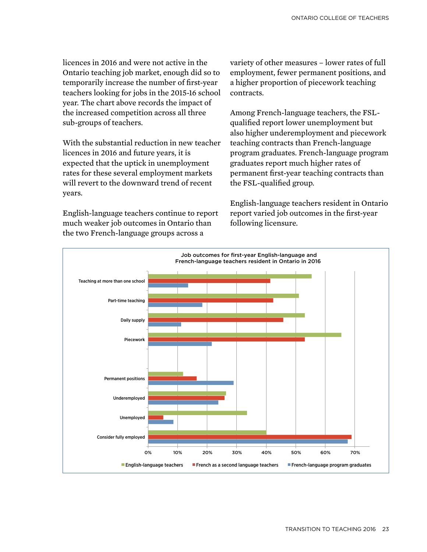licences in 2016 and were not active in the Ontario teaching job market, enough did so to temporarily increase the number of first-year teachers looking for jobs in the 2015-16 school year. The chart above records the impact of the increased competition across all three sub-groups of teachers.

With the substantial reduction in new teacher licences in 2016 and future years, it is expected that the uptick in unemployment rates for these several employment markets will revert to the downward trend of recent years.

English-language teachers continue to report much weaker job outcomes in Ontario than the two French-language groups across a

variety of other measures – lower rates of full employment, fewer permanent positions, and a higher proportion of piecework teaching contracts.

Among French-language teachers, the FSLqualified report lower unemployment but also higher underemployment and piecework teaching contracts than French-language program graduates. French-language program graduates report much higher rates of permanent first-year teaching contracts than the FSL-qualified group.

English-language teachers resident in Ontario report varied job outcomes in the first-year following licensure.

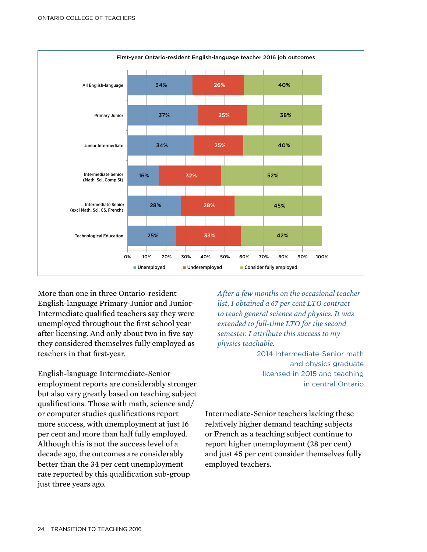

More than one in three Ontario-resident English-language Primary-Junior and Junior-Intermediate qualified teachers say they were unemployed throughout the first school year after licensing. And only about two in five say they considered themselves fully employed as teachers in that first-year.

English-language Intermediate-Senior employment reports are considerably stronger but also vary greatly based on teaching subject qualifications. Those with math, science and/ or computer studies qualifications report more success, with unemployment at just 16 per cent and more than half fully employed. Although this is not the success level of a decade ago, the outcomes are considerably better than the 34 per cent unemployment rate reported by this qualification sub-group just three years ago.

*After a few months on the occasional teacher list, I obtained a 67 per cent LTO contract to teach general science and physics. It was extended to full-time LTO for the second semester. I attribute this success to my physics teachable.*

> 2014 Intermediate-Senior math and physics graduate licensed in 2015 and teaching in central Ontario

Intermediate-Senior teachers lacking these relatively higher demand teaching subjects or French as a teaching subject continue to report higher unemployment (28 per cent) and just 45 per cent consider themselves fully employed teachers.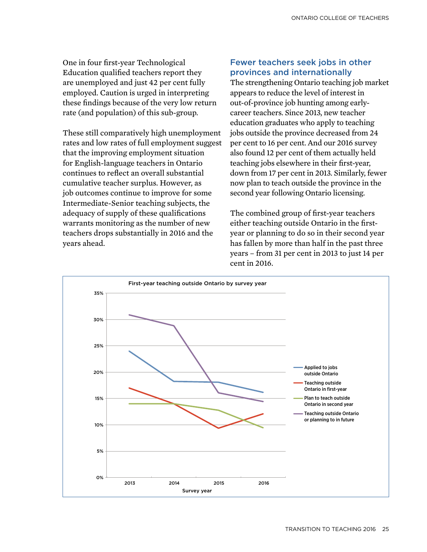<span id="page-28-0"></span>One in four first-year Technological Education qualified teachers report they are unemployed and just 42 per cent fully employed. Caution is urged in interpreting these findings because of the very low return rate (and population) of this sub-group.

These still comparatively high unemployment rates and low rates of full employment suggest that the improving employment situation for English-language teachers in Ontario continues to reflect an overall substantial cumulative teacher surplus. However, as job outcomes continue to improve for some Intermediate-Senior teaching subjects, the adequacy of supply of these qualifications warrants monitoring as the number of new teachers drops substantially in 2016 and the years ahead.

#### Fewer teachers seek jobs in other provinces and internationally

The strengthening Ontario teaching job market appears to reduce the level of interest in out-of-province job hunting among earlycareer teachers. Since 2013, new teacher education graduates who apply to teaching jobs outside the province decreased from 24 per cent to 16 per cent. And our 2016 survey also found 12 per cent of them actually held teaching jobs elsewhere in their first-year, down from 17 per cent in 2013. Similarly, fewer now plan to teach outside the province in the second year following Ontario licensing.

The combined group of first-year teachers either teaching outside Ontario in the firstyear or planning to do so in their second year has fallen by more than half in the past three years – from 31 per cent in 2013 to just 14 per cent in 2016.

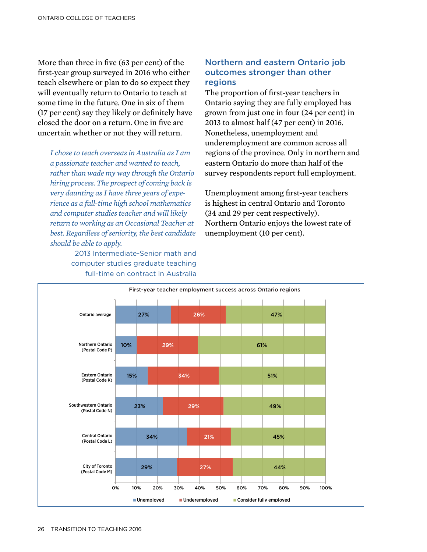<span id="page-29-0"></span>More than three in five (63 per cent) of the first-year group surveyed in 2016 who either teach elsewhere or plan to do so expect they will eventually return to Ontario to teach at some time in the future. One in six of them (17 per cent) say they likely or definitely have closed the door on a return. One in five are uncertain whether or not they will return.

*I chose to teach overseas in Australia as I am a passionate teacher and wanted to teach, rather than wade my way through the Ontario hiring process. The prospect of coming back is very daunting as I have three years of experience as a full-time high school mathematics and computer studies teacher and will likely return to working as an Occasional Teacher at best. Regardless of seniority, the best candidate should be able to apply.* 

> 2013 Intermediate-Senior math and computer studies graduate teaching full-time on contract in Australia

#### Northern and eastern Ontario job outcomes stronger than other regions

The proportion of first-year teachers in Ontario saying they are fully employed has grown from just one in four (24 per cent) in 2013 to almost half (47 per cent) in 2016. Nonetheless, unemployment and underemployment are common across all regions of the province. Only in northern and eastern Ontario do more than half of the survey respondents report full employment.

Unemployment among first-year teachers is highest in central Ontario and Toronto (34 and 29 per cent respectively). Northern Ontario enjoys the lowest rate of unemployment (10 per cent).

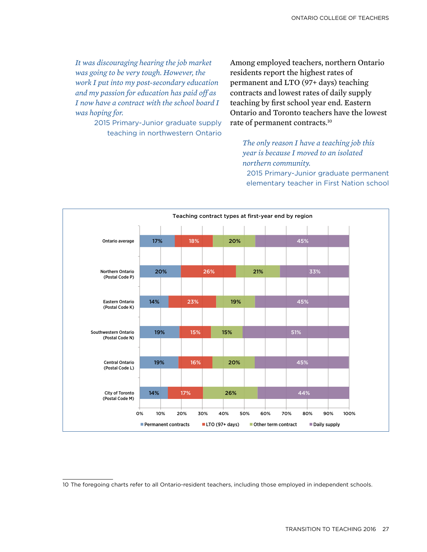*It was discouraging hearing the job market was going to be very tough. However, the work I put into my post-secondary education and my passion for education has paid off as I now have a contract with the school board I was hoping for.*

> 2015 Primary-Junior graduate supply teaching in northwestern Ontario

Among employed teachers, northern Ontario residents report the highest rates of permanent and LTO (97+ days) teaching contracts and lowest rates of daily supply teaching by first school year end. Eastern Ontario and Toronto teachers have the lowest rate of permanent contracts.10

*The only reason I have a teaching job this year is because I moved to an isolated northern community.* 2015 Primary-Junior graduate permanent

elementary teacher in First Nation school



<sup>10</sup> The foregoing charts refer to all Ontario-resident teachers, including those employed in independent schools.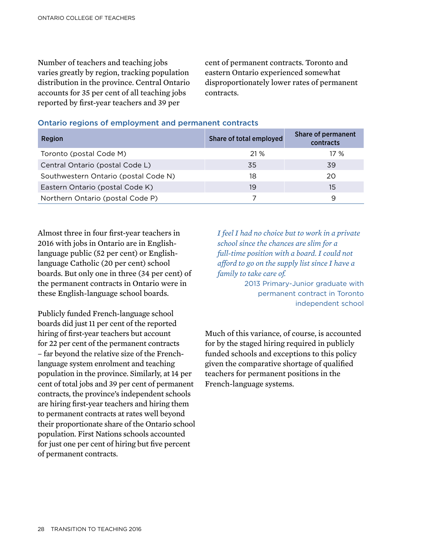Number of teachers and teaching jobs varies greatly by region, tracking population distribution in the province. Central Ontario accounts for 35 per cent of all teaching jobs reported by first-year teachers and 39 per

cent of permanent contracts. Toronto and eastern Ontario experienced somewhat disproportionately lower rates of permanent contracts.

| <b>Region</b>                        | Share of total employed | <b>Share of permanent</b><br>contracts |
|--------------------------------------|-------------------------|----------------------------------------|
| Toronto (postal Code M)              | 21 %                    | 17%                                    |
| Central Ontario (postal Code L)      | 35                      | 39                                     |
| Southwestern Ontario (postal Code N) | 18                      | 20                                     |
| Eastern Ontario (postal Code K)      | 19                      | 15                                     |
| Northern Ontario (postal Code P)     |                         | 9                                      |

#### Ontario regions of employment and permanent contracts

Almost three in four first-year teachers in 2016 with jobs in Ontario are in Englishlanguage public (52 per cent) or Englishlanguage Catholic (20 per cent) school boards. But only one in three (34 per cent) of the permanent contracts in Ontario were in these English-language school boards.

Publicly funded French-language school boards did just 11 per cent of the reported hiring of first-year teachers but account for 22 per cent of the permanent contracts – far beyond the relative size of the Frenchlanguage system enrolment and teaching population in the province. Similarly, at 14 per cent of total jobs and 39 per cent of permanent contracts, the province's independent schools are hiring first-year teachers and hiring them to permanent contracts at rates well beyond their proportionate share of the Ontario school population. First Nations schools accounted for just one per cent of hiring but five percent of permanent contracts.

*I feel I had no choice but to work in a private school since the chances are slim for a full-time position with a board. I could not afford to go on the supply list since I have a family to take care of.* 

2013 Primary-Junior graduate with permanent contract in Toronto independent school

Much of this variance, of course, is accounted for by the staged hiring required in publicly funded schools and exceptions to this policy given the comparative shortage of qualified teachers for permanent positions in the French-language systems.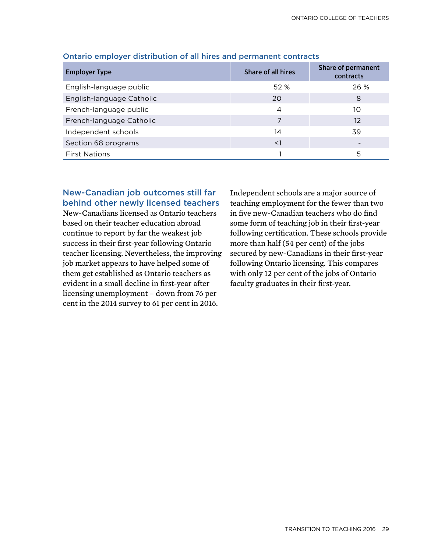| <b>Employer Type</b>      | Share of all hires | Share of permanent<br>contracts |
|---------------------------|--------------------|---------------------------------|
| English-language public   | 52 %               | 26 %                            |
| English-language Catholic | 20                 | 8                               |
| French-language public    | 4                  | 10                              |
| French-language Catholic  | 7                  | 12                              |
| Independent schools       | 14                 | 39                              |
| Section 68 programs       | <1                 |                                 |
| <b>First Nations</b>      |                    | 5                               |

#### <span id="page-32-0"></span>Ontario employer distribution of all hires and permanent contracts

#### New-Canadian job outcomes still far behind other newly licensed teachers

New-Canadians licensed as Ontario teachers based on their teacher education abroad continue to report by far the weakest job success in their first-year following Ontario teacher licensing. Nevertheless, the improving job market appears to have helped some of them get established as Ontario teachers as evident in a small decline in first-year after licensing unemployment – down from 76 per cent in the 2014 survey to 61 per cent in 2016.

Independent schools are a major source of teaching employment for the fewer than two in five new-Canadian teachers who do find some form of teaching job in their first-year following certification. These schools provide more than half (54 per cent) of the jobs secured by new-Canadians in their first-year following Ontario licensing. This compares with only 12 per cent of the jobs of Ontario faculty graduates in their first-year.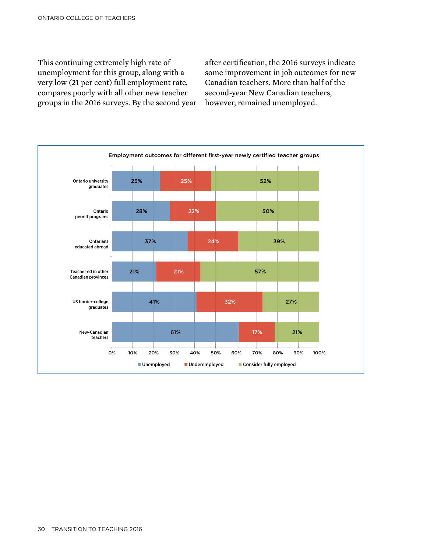This continuing extremely high rate of unemployment for this group, along with a very low (21 per cent) full employment rate, compares poorly with all other new teacher groups in the 2016 surveys. By the second year after certification, the 2016 surveys indicate some improvement in job outcomes for new Canadian teachers. More than half of the second-year New Canadian teachers, however, remained unemployed.

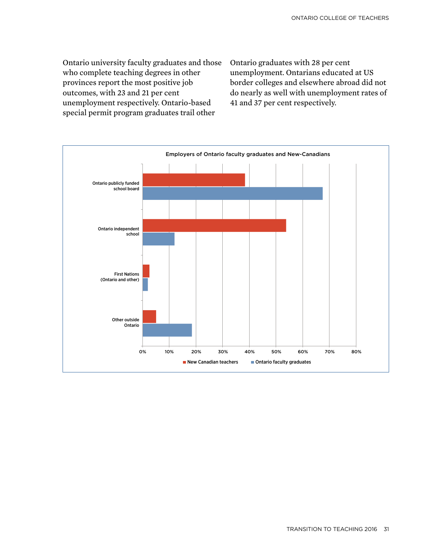Ontario university faculty graduates and those who complete teaching degrees in other provinces report the most positive job outcomes, with 23 and 21 per cent unemployment respectively. Ontario-based special permit program graduates trail other

Ontario graduates with 28 per cent unemployment. Ontarians educated at US border colleges and elsewhere abroad did not do nearly as well with unemployment rates of 41 and 37 per cent respectively.

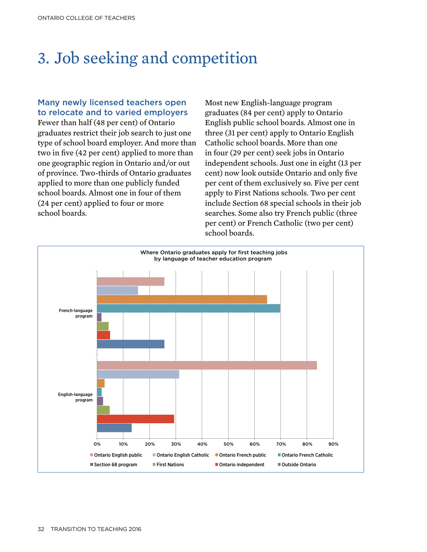## <span id="page-35-0"></span>3. Job seeking and competition

#### Many newly licensed teachers open to relocate and to varied employers

Fewer than half (48 per cent) of Ontario graduates restrict their job search to just one type of school board employer. And more than two in five (42 per cent) applied to more than one geographic region in Ontario and/or out of province. Two-thirds of Ontario graduates applied to more than one publicly funded school boards. Almost one in four of them (24 per cent) applied to four or more school boards.

Most new English-language program graduates (84 per cent) apply to Ontario English public school boards. Almost one in three (31 per cent) apply to Ontario English Catholic school boards. More than one in four (29 per cent) seek jobs in Ontario independent schools. Just one in eight (13 per cent) now look outside Ontario and only five per cent of them exclusively so. Five per cent apply to First Nations schools. Two per cent include Section 68 special schools in their job searches. Some also try French public (three per cent) or French Catholic (two per cent) school boards.

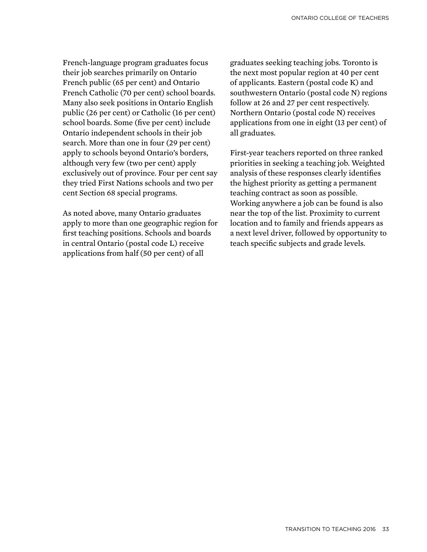French-language program graduates focus their job searches primarily on Ontario French public (65 per cent) and Ontario French Catholic (70 per cent) school boards. Many also seek positions in Ontario English public (26 per cent) or Catholic (16 per cent) school boards. Some (five per cent) include Ontario independent schools in their job search. More than one in four (29 per cent) apply to schools beyond Ontario's borders, although very few (two per cent) apply exclusively out of province. Four per cent say they tried First Nations schools and two per cent Section 68 special programs.

As noted above, many Ontario graduates apply to more than one geographic region for first teaching positions. Schools and boards in central Ontario (postal code L) receive applications from half (50 per cent) of all

graduates seeking teaching jobs. Toronto is the next most popular region at 40 per cent of applicants. Eastern (postal code K) and southwestern Ontario (postal code N) regions follow at 26 and 27 per cent respectively. Northern Ontario (postal code N) receives applications from one in eight (13 per cent) of all graduates.

First-year teachers reported on three ranked priorities in seeking a teaching job. Weighted analysis of these responses clearly identifies the highest priority as getting a permanent teaching contract as soon as possible. Working anywhere a job can be found is also near the top of the list. Proximity to current location and to family and friends appears as a next level driver, followed by opportunity to teach specific subjects and grade levels.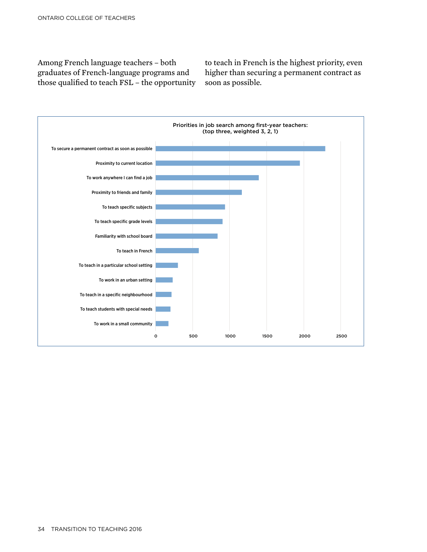Among French language teachers – both graduates of French-language programs and those qualified to teach FSL – the opportunity to teach in French is the highest priority, even higher than securing a permanent contract as soon as possible.

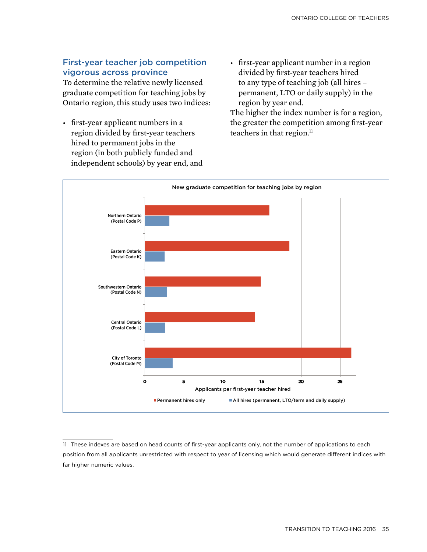## First-year teacher job competition vigorous across province

To determine the relative newly licensed graduate competition for teaching jobs by Ontario region, this study uses two indices:

- first-year applicant numbers in a region divided by first-year teachers hired to permanent jobs in the region (in both publicly funded and independent schools) by year end, and
- first-year applicant number in a region divided by first-year teachers hired to any type of teaching job (all hires – permanent, LTO or daily supply) in the region by year end.

The higher the index number is for a region, the greater the competition among first-year teachers in that region.<sup>11</sup>



<sup>11</sup> These indexes are based on head counts of first-year applicants only, not the number of applications to each position from all applicants unrestricted with respect to year of licensing which would generate different indices with far higher numeric values.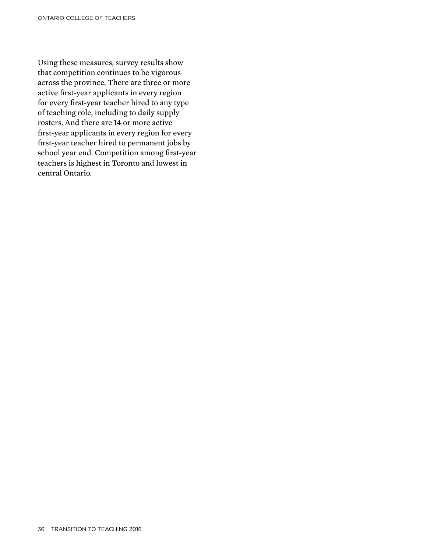Using these measures, survey results show that competition continues to be vigorous across the province. There are three or more active first-year applicants in every region for every first-year teacher hired to any type of teaching role, including to daily supply rosters. And there are 14 or more active first-year applicants in every region for every first-year teacher hired to permanent jobs by school year end. Competition among first-year teachers is highest in Toronto and lowest in central Ontario.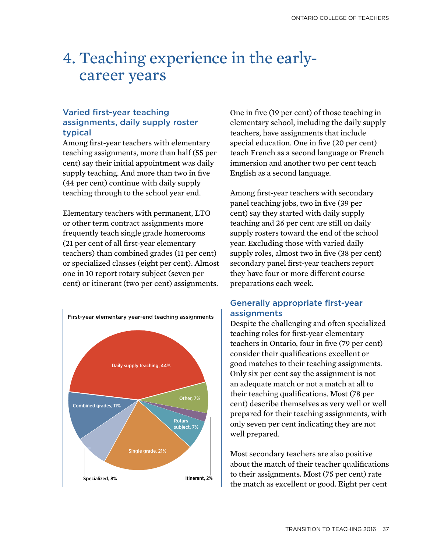## 4. Teaching experience in the earlycareer years

## Varied first-year teaching assignments, daily supply roster typical

Among first-year teachers with elementary teaching assignments, more than half (55 per cent) say their initial appointment was daily supply teaching. And more than two in five (44 per cent) continue with daily supply teaching through to the school year end.

Elementary teachers with permanent, LTO or other term contract assignments more frequently teach single grade homerooms (21 per cent of all first-year elementary teachers) than combined grades (11 per cent) or specialized classes (eight per cent). Almost one in 10 report rotary subject (seven per cent) or itinerant (two per cent) assignments.



One in five (19 per cent) of those teaching in elementary school, including the daily supply teachers, have assignments that include special education. One in five (20 per cent) teach French as a second language or French immersion and another two per cent teach English as a second language.

Among first-year teachers with secondary panel teaching jobs, two in five (39 per cent) say they started with daily supply teaching and 26 per cent are still on daily supply rosters toward the end of the school year. Excluding those with varied daily supply roles, almost two in five (38 per cent) secondary panel first-year teachers report they have four or more different course preparations each week.

## Generally appropriate first-year assignments

Despite the challenging and often specialized teaching roles for first-year elementary teachers in Ontario, four in five (79 per cent) consider their qualifications excellent or good matches to their teaching assignments. Only six per cent say the assignment is not an adequate match or not a match at all to their teaching qualifications. Most (78 per cent) describe themselves as very well or well prepared for their teaching assignments, with only seven per cent indicating they are not well prepared.

Most secondary teachers are also positive about the match of their teacher qualifications to their assignments. Most (75 per cent) rate the match as excellent or good. Eight per cent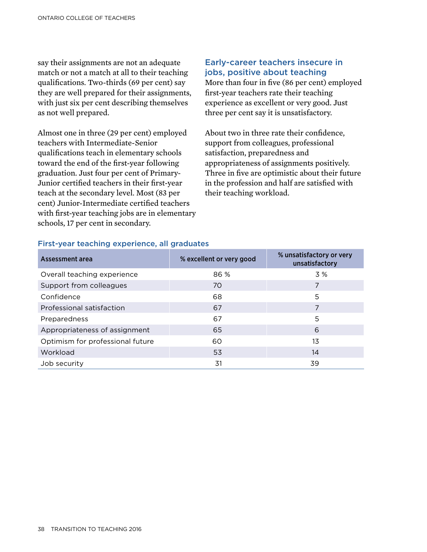say their assignments are not an adequate match or not a match at all to their teaching qualifications. Two-thirds (69 per cent) say they are well prepared for their assignments, with just six per cent describing themselves as not well prepared.

Almost one in three (29 per cent) employed teachers with Intermediate-Senior qualifications teach in elementary schools toward the end of the first-year following graduation. Just four per cent of Primary-Junior certified teachers in their first-year teach at the secondary level. Most (83 per cent) Junior-Intermediate certified teachers with first-year teaching jobs are in elementary schools, 17 per cent in secondary.

## Early-career teachers insecure in jobs, positive about teaching

More than four in five (86 per cent) employed first-year teachers rate their teaching experience as excellent or very good. Just three per cent say it is unsatisfactory.

About two in three rate their confidence, support from colleagues, professional satisfaction, preparedness and appropriateness of assignments positively. Three in five are optimistic about their future in the profession and half are satisfied with their teaching workload.

### First-year teaching experience, all graduates

| Assessment area                  | % excellent or very good | % unsatisfactory or very<br>unsatisfactory |
|----------------------------------|--------------------------|--------------------------------------------|
| Overall teaching experience      | 86 %                     | 3 %                                        |
| Support from colleagues          | 70                       |                                            |
| Confidence                       | 68                       | 5                                          |
| Professional satisfaction        | 67                       | 7                                          |
| Preparedness                     | 67                       | 5                                          |
| Appropriateness of assignment    | 65                       | 6                                          |
| Optimism for professional future | 60                       | 13                                         |
| Workload                         | 53                       | 14                                         |
| Job security                     | 31                       | 39                                         |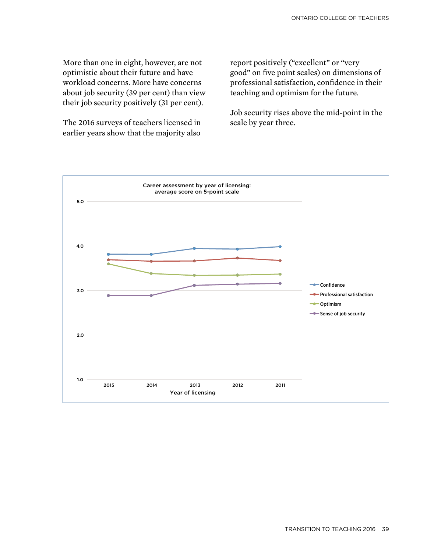More than one in eight, however, are not optimistic about their future and have workload concerns. More have concerns about job security (39 per cent) than view their job security positively (31 per cent).

The 2016 surveys of teachers licensed in earlier years show that the majority also

report positively ("excellent" or "very good" on five point scales) on dimensions of professional satisfaction, confidence in their teaching and optimism for the future.

Job security rises above the mid-point in the scale by year three.

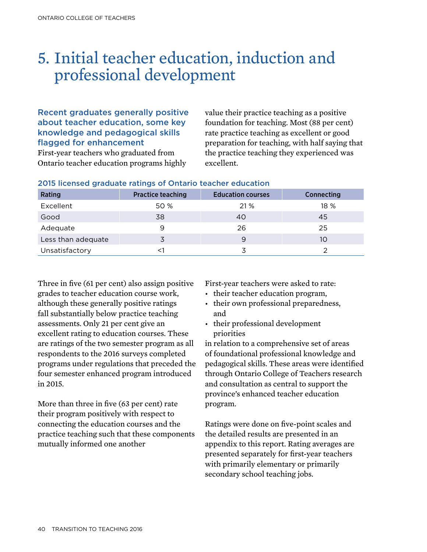## 5. Initial teacher education, induction and professional development

## Recent graduates generally positive about teacher education, some key knowledge and pedagogical skills flagged for enhancement

First-year teachers who graduated from Ontario teacher education programs highly value their practice teaching as a positive foundation for teaching. Most (88 per cent) rate practice teaching as excellent or good preparation for teaching, with half saying that the practice teaching they experienced was excellent.

| Rating             | <b>Practice teaching</b> | <b>Education courses</b> | Connecting |  |  |  |
|--------------------|--------------------------|--------------------------|------------|--|--|--|
| Excellent          | 50 %                     | 21 %                     | 18 %       |  |  |  |
| Good               | 38                       | 40                       | 45         |  |  |  |
| Adequate           | 9                        | 26                       | 25         |  |  |  |
| Less than adequate | 3                        | 9                        | 10         |  |  |  |
| Unsatisfactory     |                          |                          |            |  |  |  |

## 2015 licensed graduate ratings of Ontario teacher education

Three in five (61 per cent) also assign positive grades to teacher education course work, although these generally positive ratings fall substantially below practice teaching assessments. Only 21 per cent give an excellent rating to education courses. These are ratings of the two semester program as all respondents to the 2016 surveys completed programs under regulations that preceded the four semester enhanced program introduced in 2015.

More than three in five (63 per cent) rate their program positively with respect to connecting the education courses and the practice teaching such that these components mutually informed one another

First-year teachers were asked to rate:

- their teacher education program,
- their own professional preparedness, and
- their professional development priorities

in relation to a comprehensive set of areas of foundational professional knowledge and pedagogical skills. These areas were identified through Ontario College of Teachers research and consultation as central to support the province's enhanced teacher education program.

Ratings were done on five-point scales and the detailed results are presented in an appendix to this report. Rating averages are presented separately for first-year teachers with primarily elementary or primarily secondary school teaching jobs.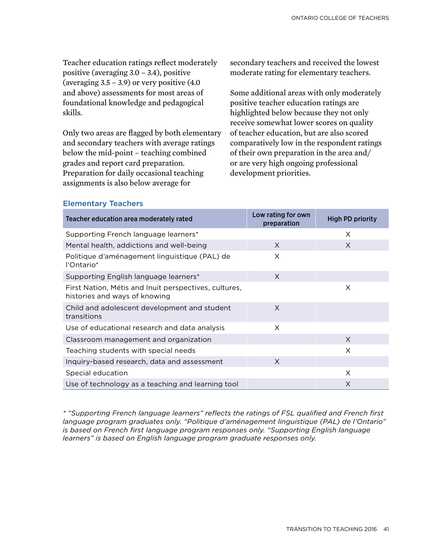Teacher education ratings reflect moderately positive (averaging 3.0 – 3.4), positive (averaging  $3.5 - 3.9$ ) or very positive  $(4.0)$ and above) assessments for most areas of foundational knowledge and pedagogical skills.

Only two areas are flagged by both elementary and secondary teachers with average ratings below the mid-point – teaching combined grades and report card preparation. Preparation for daily occasional teaching assignments is also below average for

secondary teachers and received the lowest moderate rating for elementary teachers.

Some additional areas with only moderately positive teacher education ratings are highlighted below because they not only receive somewhat lower scores on quality of teacher education, but are also scored comparatively low in the respondent ratings of their own preparation in the area and/ or are very high ongoing professional development priorities.

| Teacher education area moderately rated                                                | Low rating for own<br>preparation | <b>High PD priority</b> |
|----------------------------------------------------------------------------------------|-----------------------------------|-------------------------|
| Supporting French language learners*                                                   |                                   | X                       |
| Mental health, addictions and well-being                                               | $\times$                          | X                       |
| Politique d'aménagement linguistique (PAL) de<br>l'Ontario*                            | X                                 |                         |
| Supporting English language learners*                                                  | $\times$                          |                         |
| First Nation, Métis and Inuit perspectives, cultures,<br>histories and ways of knowing |                                   | X                       |
| Child and adolescent development and student<br>transitions                            | $\times$                          |                         |
| Use of educational research and data analysis                                          | X                                 |                         |
| Classroom management and organization                                                  |                                   | $\times$                |
| Teaching students with special needs                                                   |                                   | X                       |
| Inquiry-based research, data and assessment                                            | $\times$                          |                         |
| Special education                                                                      |                                   | X                       |
| Use of technology as a teaching and learning tool                                      |                                   | X                       |

## Elementary Teachers

*\* "Supporting French language learners" reflects the ratings of FSL qualified and French first language program graduates only. "Politique d'aménagement linguistique (PAL) de l'Ontario" is based on French first language program responses only. "Supporting English language learners" is based on English language program graduate responses only.*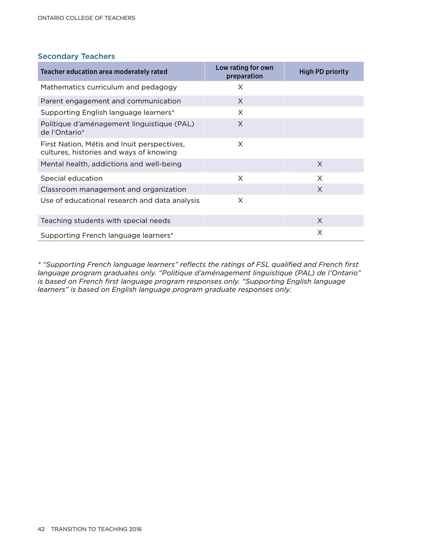### Secondary Teachers

| Teacher education area moderately rated                                                | Low rating for own<br>preparation | <b>High PD priority</b> |
|----------------------------------------------------------------------------------------|-----------------------------------|-------------------------|
| Mathematics curriculum and pedagogy                                                    | X                                 |                         |
| Parent engagement and communication                                                    | $\times$                          |                         |
| Supporting English language learners*                                                  | X                                 |                         |
| Politique d'aménagement linguistique (PAL)<br>de l'Ontario*                            | $\times$                          |                         |
| First Nation, Métis and Inuit perspectives,<br>cultures, histories and ways of knowing | X                                 |                         |
| Mental health, addictions and well-being                                               |                                   | $\times$                |
| Special education                                                                      | X                                 | X                       |
| Classroom management and organization                                                  |                                   | $\times$                |
| Use of educational research and data analysis                                          | X                                 |                         |
| Teaching students with special needs                                                   |                                   | X                       |
| Supporting French language learners*                                                   |                                   | X                       |

*\* "Supporting French language learners" reflects the ratings of FSL qualified and French first language program graduates only. "Politique d'aménagement linguistique (PAL) de l'Ontario" is based on French first language program responses only. "Supporting English language learners" is based on English language program graduate responses only.*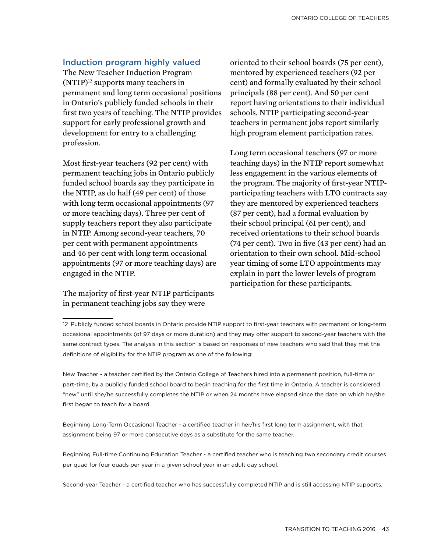#### Induction program highly valued

The New Teacher Induction Program  $(NTIP)^{12}$  supports many teachers in permanent and long term occasional positions in Ontario's publicly funded schools in their first two years of teaching. The NTIP provides support for early professional growth and development for entry to a challenging profession.

Most first-year teachers (92 per cent) with permanent teaching jobs in Ontario publicly funded school boards say they participate in the NTIP, as do half (49 per cent) of those with long term occasional appointments (97 or more teaching days). Three per cent of supply teachers report they also participate in NTIP. Among second-year teachers, 70 per cent with permanent appointments and 46 per cent with long term occasional appointments (97 or more teaching days) are engaged in the NTIP.

The majority of first-year NTIP participants in permanent teaching jobs say they were

oriented to their school boards (75 per cent), mentored by experienced teachers (92 per cent) and formally evaluated by their school principals (88 per cent). And 50 per cent report having orientations to their individual schools. NTIP participating second-year teachers in permanent jobs report similarly high program element participation rates.

Long term occasional teachers (97 or more teaching days) in the NTIP report somewhat less engagement in the various elements of the program. The majority of first-year NTIPparticipating teachers with LTO contracts say they are mentored by experienced teachers (87 per cent), had a formal evaluation by their school principal (61 per cent), and received orientations to their school boards (74 per cent). Two in five (43 per cent) had an orientation to their own school. Mid-school year timing of some LTO appointments may explain in part the lower levels of program participation for these participants.

New Teacher - a teacher certified by the Ontario College of Teachers hired into a permanent position, full-time or part-time, by a publicly funded school board to begin teaching for the first time in Ontario. A teacher is considered "new" until she/he successfully completes the NTIP or when 24 months have elapsed since the date on which he/she first began to teach for a board.

Beginning Long-Term Occasional Teacher - a certified teacher in her/his first long term assignment, with that assignment being 97 or more consecutive days as a substitute for the same teacher.

Beginning Full-time Continuing Education Teacher - a certified teacher who is teaching two secondary credit courses per quad for four quads per year in a given school year in an adult day school.

Second-year Teacher - a certified teacher who has successfully completed NTIP and is still accessing NTIP supports.

<sup>12</sup> Publicly funded school boards in Ontario provide NTIP support to first-year teachers with permanent or long-term occasional appointments (of 97 days or more duration) and they may offer support to second-year teachers with the same contract types. The analysis in this section is based on responses of new teachers who said that they met the definitions of eligibility for the NTIP program as one of the following: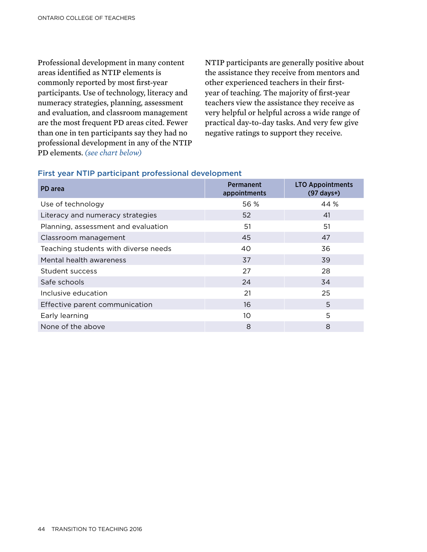Professional development in many content areas identified as NTIP elements is commonly reported by most first-year participants. Use of technology, literacy and numeracy strategies, planning, assessment and evaluation, and classroom management are the most frequent PD areas cited. Fewer than one in ten participants say they had no professional development in any of the NTIP PD elements. *(see chart below)*

NTIP participants are generally positive about the assistance they receive from mentors and other experienced teachers in their firstyear of teaching. The majority of first-year teachers view the assistance they receive as very helpful or helpful across a wide range of practical day-to-day tasks. And very few give negative ratings to support they receive.

#### First year NTIP participant professional development

| PD area                              | Permanent<br>appointments | <b>LTO Appointments</b><br>$(97 \text{ days+})$ |
|--------------------------------------|---------------------------|-------------------------------------------------|
| Use of technology                    | 56 %                      | 44 %                                            |
| Literacy and numeracy strategies     | 52                        | 41                                              |
| Planning, assessment and evaluation  | 51                        | 51                                              |
| Classroom management                 | 45                        | 47                                              |
| Teaching students with diverse needs | 40                        | 36                                              |
| Mental health awareness              | 37                        | 39                                              |
| Student success                      | 27                        | 28                                              |
| Safe schools                         | 24                        | 34                                              |
| Inclusive education                  | 21                        | 25                                              |
| Effective parent communication       | 16                        | 5                                               |
| Early learning                       | 10                        | 5                                               |
| None of the above                    | 8                         | 8                                               |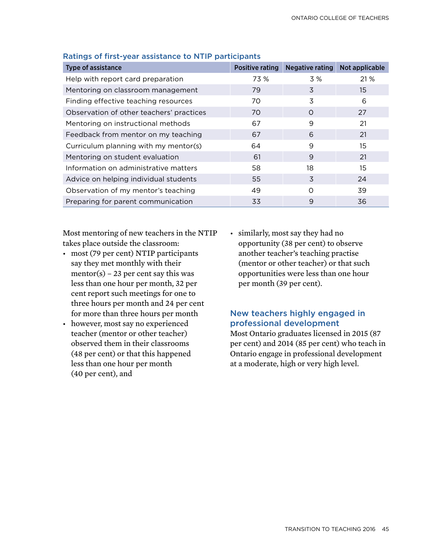| Type of assistance                       | <b>Positive rating</b> | <b>Negative rating</b> | Not applicable |
|------------------------------------------|------------------------|------------------------|----------------|
| Help with report card preparation        | 73 %                   | 3 %                    | 21 %           |
| Mentoring on classroom management        | 79                     | 3                      | 15             |
| Finding effective teaching resources     | 70                     | 3                      | 6              |
| Observation of other teachers' practices | 70                     | $\Omega$               | 27             |
| Mentoring on instructional methods       | 67                     | 9                      | 21             |
| Feedback from mentor on my teaching      | 67                     | 6                      | 21             |
| Curriculum planning with my mentor(s)    | 64                     | 9                      | 15             |
| Mentoring on student evaluation          | 61                     | 9                      | 21             |
| Information on administrative matters    | 58                     | 18                     | 15             |
| Advice on helping individual students    | 55                     | 3                      | 24             |
| Observation of my mentor's teaching      | 49                     | $\Omega$               | 39             |
| Preparing for parent communication       | 33                     | 9                      | 36             |

#### Ratings of first-year assistance to NTIP participants

Most mentoring of new teachers in the NTIP takes place outside the classroom:

- most (79 per cent) NTIP participants say they met monthly with their mentor(s) – 23 per cent say this was less than one hour per month, 32 per cent report such meetings for one to three hours per month and 24 per cent for more than three hours per month
- however, most say no experienced teacher (mentor or other teacher) observed them in their classrooms (48 per cent) or that this happened less than one hour per month (40 per cent), and
- similarly, most say they had no opportunity (38 per cent) to observe another teacher's teaching practise (mentor or other teacher) or that such opportunities were less than one hour per month (39 per cent).

## New teachers highly engaged in professional development

Most Ontario graduates licensed in 2015 (87 per cent) and 2014 (85 per cent) who teach in Ontario engage in professional development at a moderate, high or very high level.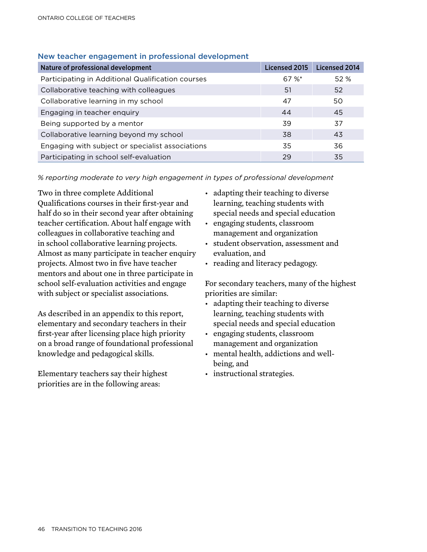| Nature of professional development                | Licensed 2015 | Licensed 2014 |
|---------------------------------------------------|---------------|---------------|
| Participating in Additional Qualification courses | 67 %*         | 52 %          |
| Collaborative teaching with colleagues            | 51            | 52            |
| Collaborative learning in my school               | 47            | 50            |
| Engaging in teacher enquiry                       | 44            | 45            |
| Being supported by a mentor                       | 39            | 37            |
| Collaborative learning beyond my school           | 38            | 43            |
| Engaging with subject or specialist associations  | 35            | 36            |
| Participating in school self-evaluation           | 29            | 35            |

#### New teacher engagement in professional development

*% reporting moderate to very high engagement in types of professional development*

Two in three complete Additional Qualifications courses in their first-year and half do so in their second year after obtaining teacher certification. About half engage with colleagues in collaborative teaching and in school collaborative learning projects. Almost as many participate in teacher enquiry projects. Almost two in five have teacher mentors and about one in three participate in school self-evaluation activities and engage with subject or specialist associations.

As described in an appendix to this report, elementary and secondary teachers in their first-year after licensing place high priority on a broad range of foundational professional knowledge and pedagogical skills.

Elementary teachers say their highest priorities are in the following areas:

- adapting their teaching to diverse learning, teaching students with special needs and special education
- engaging students, classroom management and organization
- student observation, assessment and evaluation, and
- reading and literacy pedagogy.

For secondary teachers, many of the highest priorities are similar:

- adapting their teaching to diverse learning, teaching students with special needs and special education
- engaging students, classroom management and organization
- mental health, addictions and wellbeing, and
- instructional strategies.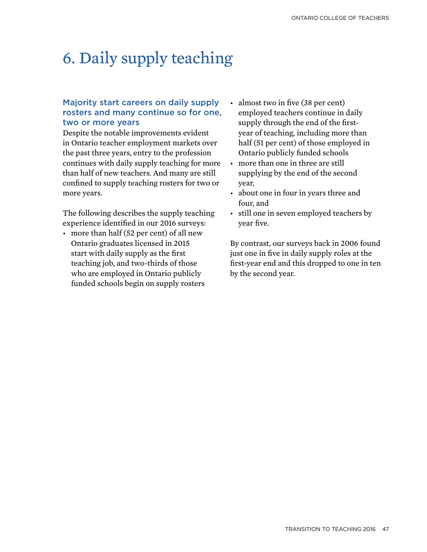# 6. Daily supply teaching

## Majority start careers on daily supply rosters and many continue so for one, two or more years

Despite the notable improvements evident in Ontario teacher employment markets over the past three years, entry to the profession continues with daily supply teaching for more than half of new teachers. And many are still confined to supply teaching rosters for two or more years.

The following describes the supply teaching experience identified in our 2016 surveys:

• more than half (52 per cent) of all new Ontario graduates licensed in 2015 start with daily supply as the first teaching job, and two-thirds of those who are employed in Ontario publicly funded schools begin on supply rosters

- almost two in five (38 per cent) employed teachers continue in daily supply through the end of the firstyear of teaching, including more than half (51 per cent) of those employed in Ontario publicly funded schools
- more than one in three are still supplying by the end of the second year,
- about one in four in years three and four, and
- still one in seven employed teachers by year five.

By contrast, our surveys back in 2006 found just one in five in daily supply roles at the first-year end and this dropped to one in ten by the second year.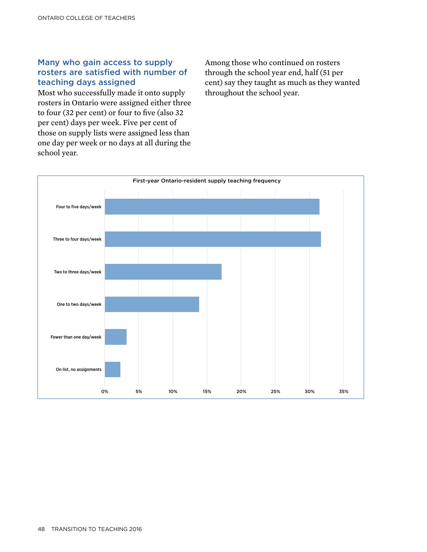## Many who gain access to supply rosters are satisfied with number of teaching days assigned

Most who successfully made it onto supply rosters in Ontario were assigned either three to four (32 per cent) or four to five (also 32 per cent) days per week. Five per cent of those on supply lists were assigned less than one day per week or no days at all during the school year.

Among those who continued on rosters through the school year end, half (51 per cent) say they taught as much as they wanted throughout the school year.

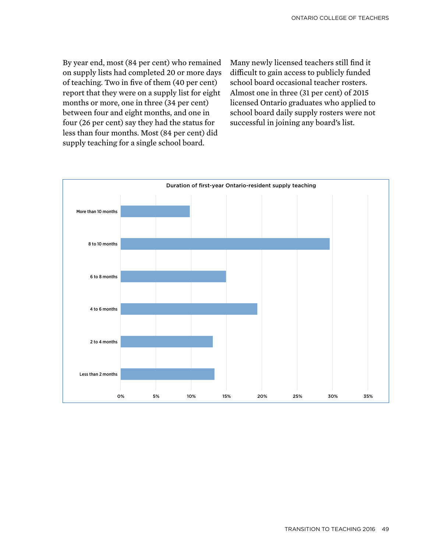By year end, most (84 per cent) who remained on supply lists had completed 20 or more days of teaching. Two in five of them (40 per cent) report that they were on a supply list for eight months or more, one in three (34 per cent) between four and eight months, and one in four (26 per cent) say they had the status for less than four months. Most (84 per cent) did supply teaching for a single school board.

Many newly licensed teachers still find it difficult to gain access to publicly funded school board occasional teacher rosters. Almost one in three (31 per cent) of 2015 licensed Ontario graduates who applied to school board daily supply rosters were not successful in joining any board's list.

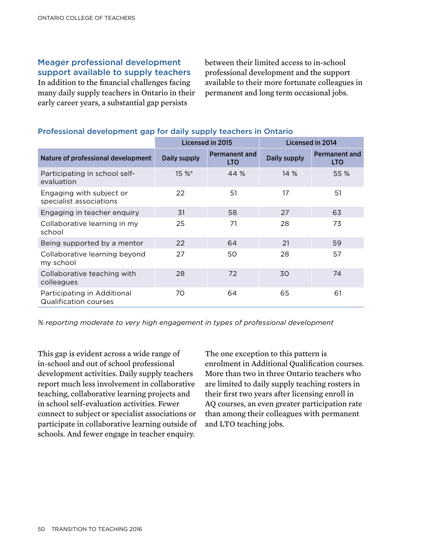## Meager professional development support available to supply teachers

In addition to the financial challenges facing many daily supply teachers in Ontario in their early career years, a substantial gap persists

between their limited access to in-school professional development and the support available to their more fortunate colleagues in permanent and long term occasional jobs.

## Professional development gap for daily supply teachers in Ontario

|                                                             |              | Licensed in 2015                   | Licensed in 2014    |                                    |
|-------------------------------------------------------------|--------------|------------------------------------|---------------------|------------------------------------|
| Nature of professional development                          | Daily supply | <b>Permanent and</b><br><b>LTO</b> | <b>Daily supply</b> | <b>Permanent and</b><br><b>LTO</b> |
| Participating in school self-<br>evaluation                 | $15 \%$      | 44 %                               | 14 %                | 55 %                               |
| Engaging with subject or<br>specialist associations         | 22           | 51                                 | 17                  | 51                                 |
| Engaging in teacher enquiry                                 | 31           | 58                                 | 27                  | 63                                 |
| Collaborative learning in my<br>school                      | 25           | 71                                 | 28                  | 73                                 |
| Being supported by a mentor                                 | 22           | 64                                 | 21                  | 59                                 |
| Collaborative learning beyond<br>my school                  | 27           | 50                                 | 28                  | 57                                 |
| Collaborative teaching with<br>colleagues                   | 28           | 72                                 | 30                  | 74                                 |
| Participating in Additional<br><b>Qualification courses</b> | 70           | 64                                 | 65                  | 61                                 |

*% reporting moderate to very high engagement in types of professional development*

This gap is evident across a wide range of in-school and out of school professional development activities. Daily supply teachers report much less involvement in collaborative teaching, collaborative learning projects and in school self-evaluation activities. Fewer connect to subject or specialist associations or participate in collaborative learning outside of schools. And fewer engage in teacher enquiry.

The one exception to this pattern is enrolment in Additional Qualification courses. More than two in three Ontario teachers who are limited to daily supply teaching rosters in their first two years after licensing enroll in AQ courses, an even greater participation rate than among their colleagues with permanent and LTO teaching jobs.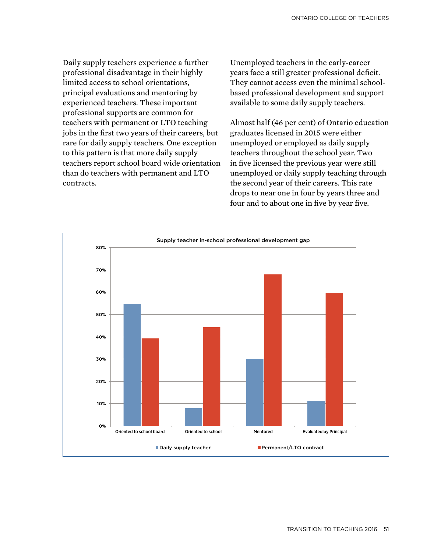Daily supply teachers experience a further professional disadvantage in their highly limited access to school orientations, principal evaluations and mentoring by experienced teachers. These important professional supports are common for teachers with permanent or LTO teaching jobs in the first two years of their careers, but rare for daily supply teachers. One exception to this pattern is that more daily supply teachers report school board wide orientation than do teachers with permanent and LTO contracts.

Unemployed teachers in the early-career years face a still greater professional deficit. They cannot access even the minimal schoolbased professional development and support available to some daily supply teachers.

Almost half (46 per cent) of Ontario education graduates licensed in 2015 were either unemployed or employed as daily supply teachers throughout the school year. Two in five licensed the previous year were still unemployed or daily supply teaching through the second year of their careers. This rate drops to near one in four by years three and four and to about one in five by year five.

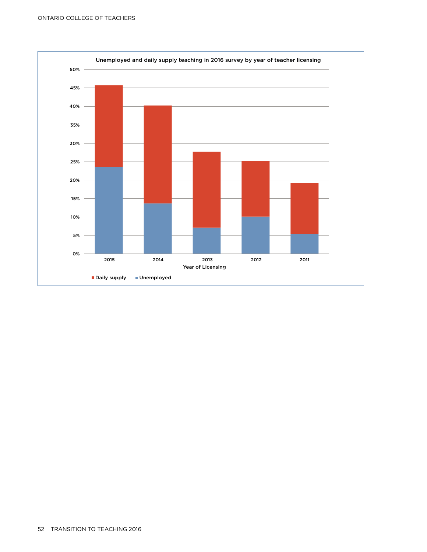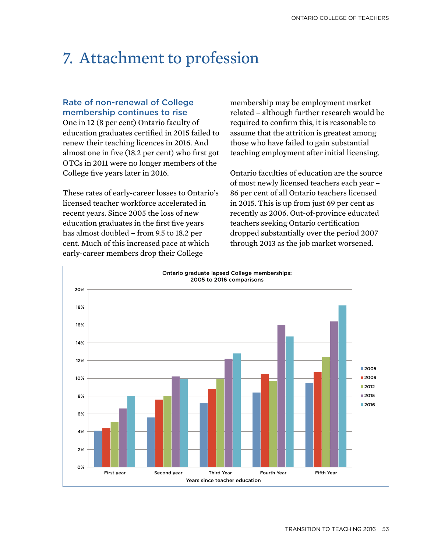## 7. Attachment to profession

#### Rate of non-renewal of College membership continues to rise

One in 12 (8 per cent) Ontario faculty of education graduates certified in 2015 failed to renew their teaching licences in 2016. And almost one in five (18.2 per cent) who first got OTCs in 2011 were no longer members of the College five years later in 2016.

These rates of early-career losses to Ontario's licensed teacher workforce accelerated in recent years. Since 2005 the loss of new education graduates in the first five years has almost doubled – from 9.5 to 18.2 per cent. Much of this increased pace at which early-career members drop their College

membership may be employment market related – although further research would be required to confirm this, it is reasonable to assume that the attrition is greatest among those who have failed to gain substantial teaching employment after initial licensing.

Ontario faculties of education are the source of most newly licensed teachers each year – 86 per cent of all Ontario teachers licensed in 2015. This is up from just 69 per cent as recently as 2006. Out-of-province educated teachers seeking Ontario certification dropped substantially over the period 2007 through 2013 as the job market worsened.

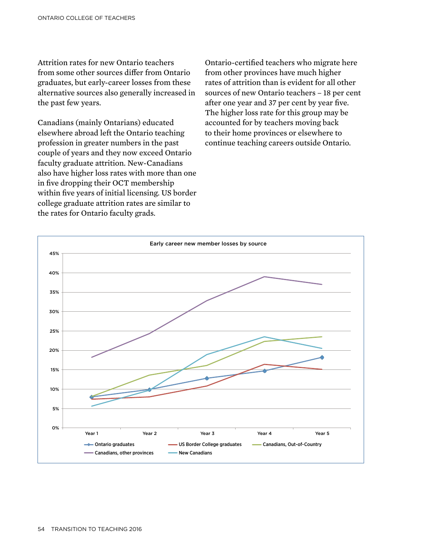Attrition rates for new Ontario teachers from some other sources differ from Ontario graduates, but early-career losses from these alternative sources also generally increased in the past few years.

Canadians (mainly Ontarians) educated elsewhere abroad left the Ontario teaching profession in greater numbers in the past couple of years and they now exceed Ontario faculty graduate attrition. New-Canadians also have higher loss rates with more than one in five dropping their OCT membership within five years of initial licensing. US border college graduate attrition rates are similar to the rates for Ontario faculty grads.

Ontario-certified teachers who migrate here from other provinces have much higher rates of attrition than is evident for all other sources of new Ontario teachers – 18 per cent after one year and 37 per cent by year five. The higher loss rate for this group may be accounted for by teachers moving back to their home provinces or elsewhere to continue teaching careers outside Ontario.

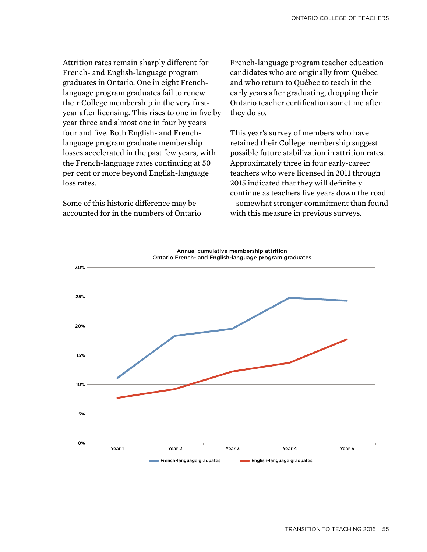Attrition rates remain sharply different for French- and English-language program graduates in Ontario. One in eight Frenchlanguage program graduates fail to renew their College membership in the very firstyear after licensing. This rises to one in five by year three and almost one in four by years four and five. Both English- and Frenchlanguage program graduate membership losses accelerated in the past few years, with the French-language rates continuing at 50 per cent or more beyond English-language loss rates.

Some of this historic difference may be accounted for in the numbers of Ontario

French-language program teacher education candidates who are originally from Québec and who return to Québec to teach in the early years after graduating, dropping their Ontario teacher certification sometime after they do so.

This year's survey of members who have retained their College membership suggest possible future stabilization in attrition rates. Approximately three in four early-career teachers who were licensed in 2011 through 2015 indicated that they will definitely continue as teachers five years down the road – somewhat stronger commitment than found with this measure in previous surveys.

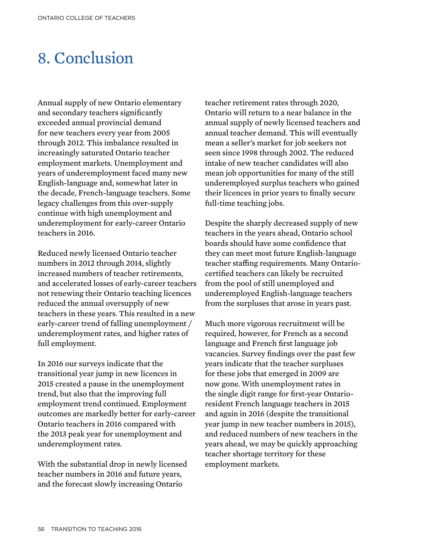# 8. Conclusion

Annual supply of new Ontario elementary and secondary teachers significantly exceeded annual provincial demand for new teachers every year from 2005 through 2012. This imbalance resulted in increasingly saturated Ontario teacher employment markets. Unemployment and years of underemployment faced many new English-language and, somewhat later in the decade, French-language teachers. Some legacy challenges from this over-supply continue with high unemployment and underemployment for early-career Ontario teachers in 2016.

Reduced newly licensed Ontario teacher numbers in 2012 through 2014, slightly increased numbers of teacher retirements, and accelerated losses of early-career teachers not renewing their Ontario teaching licences reduced the annual oversupply of new teachers in these years. This resulted in a new early-career trend of falling unemployment / underemployment rates, and higher rates of full employment.

In 2016 our surveys indicate that the transitional year jump in new licences in 2015 created a pause in the unemployment trend, but also that the improving full employment trend continued. Employment outcomes are markedly better for early-career Ontario teachers in 2016 compared with the 2013 peak year for unemployment and underemployment rates.

With the substantial drop in newly licensed teacher numbers in 2016 and future years, and the forecast slowly increasing Ontario

teacher retirement rates through 2020, Ontario will return to a near balance in the annual supply of newly licensed teachers and annual teacher demand. This will eventually mean a seller's market for job seekers not seen since 1998 through 2002. The reduced intake of new teacher candidates will also mean job opportunities for many of the still underemployed surplus teachers who gained their licences in prior years to finally secure full-time teaching jobs.

Despite the sharply decreased supply of new teachers in the years ahead, Ontario school boards should have some confidence that they can meet most future English-language teacher staffing requirements. Many Ontariocertified teachers can likely be recruited from the pool of still unemployed and underemployed English-language teachers from the surpluses that arose in years past.

Much more vigorous recruitment will be required, however, for French as a second language and French first language job vacancies. Survey findings over the past few years indicate that the teacher surpluses for these jobs that emerged in 2009 are now gone. With unemployment rates in the single digit range for first-year Ontarioresident French language teachers in 2015 and again in 2016 (despite the transitional year jump in new teacher numbers in 2015), and reduced numbers of new teachers in the years ahead, we may be quickly approaching teacher shortage territory for these employment markets.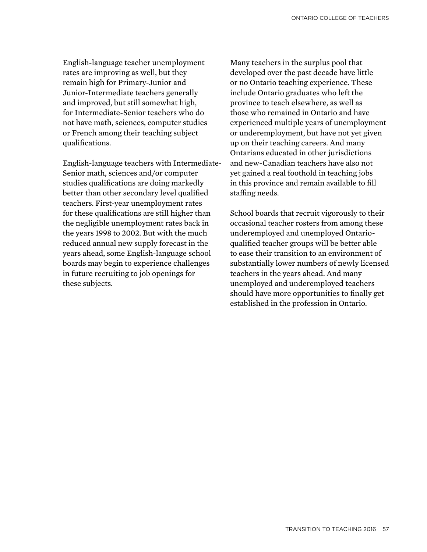English-language teacher unemployment rates are improving as well, but they remain high for Primary-Junior and Junior-Intermediate teachers generally and improved, but still somewhat high, for Intermediate-Senior teachers who do not have math, sciences, computer studies or French among their teaching subject qualifications.

English-language teachers with Intermediate-Senior math, sciences and/or computer studies qualifications are doing markedly better than other secondary level qualified teachers. First-year unemployment rates for these qualifications are still higher than the negligible unemployment rates back in the years 1998 to 2002. But with the much reduced annual new supply forecast in the years ahead, some English-language school boards may begin to experience challenges in future recruiting to job openings for these subjects.

Many teachers in the surplus pool that developed over the past decade have little or no Ontario teaching experience. These include Ontario graduates who left the province to teach elsewhere, as well as those who remained in Ontario and have experienced multiple years of unemployment or underemployment, but have not yet given up on their teaching careers. And many Ontarians educated in other jurisdictions and new-Canadian teachers have also not yet gained a real foothold in teaching jobs in this province and remain available to fill staffing needs.

School boards that recruit vigorously to their occasional teacher rosters from among these underemployed and unemployed Ontarioqualified teacher groups will be better able to ease their transition to an environment of substantially lower numbers of newly licensed teachers in the years ahead. And many unemployed and underemployed teachers should have more opportunities to finally get established in the profession in Ontario.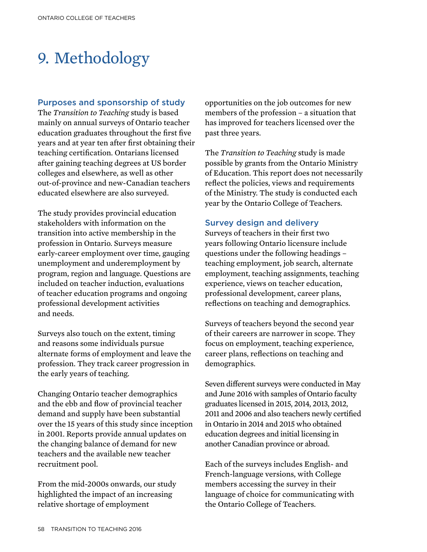# 9. Methodology

### Purposes and sponsorship of study

The *Transition to Teaching* study is based mainly on annual surveys of Ontario teacher education graduates throughout the first five years and at year ten after first obtaining their teaching certification. Ontarians licensed after gaining teaching degrees at US border colleges and elsewhere, as well as other out-of-province and new-Canadian teachers educated elsewhere are also surveyed.

The study provides provincial education stakeholders with information on the transition into active membership in the profession in Ontario. Surveys measure early-career employment over time, gauging unemployment and underemployment by program, region and language. Questions are included on teacher induction, evaluations of teacher education programs and ongoing professional development activities and needs.

Surveys also touch on the extent, timing and reasons some individuals pursue alternate forms of employment and leave the profession. They track career progression in the early years of teaching.

Changing Ontario teacher demographics and the ebb and flow of provincial teacher demand and supply have been substantial over the 15 years of this study since inception in 2001. Reports provide annual updates on the changing balance of demand for new teachers and the available new teacher recruitment pool.

From the mid-2000s onwards, our study highlighted the impact of an increasing relative shortage of employment

opportunities on the job outcomes for new members of the profession – a situation that has improved for teachers licensed over the past three years.

The *Transition to Teaching* study is made possible by grants from the Ontario Ministry of Education. This report does not necessarily reflect the policies, views and requirements of the Ministry. The study is conducted each year by the Ontario College of Teachers.

### Survey design and delivery

Surveys of teachers in their first two years following Ontario licensure include questions under the following headings – teaching employment, job search, alternate employment, teaching assignments, teaching experience, views on teacher education, professional development, career plans, reflections on teaching and demographics.

Surveys of teachers beyond the second year of their careers are narrower in scope. They focus on employment, teaching experience, career plans, reflections on teaching and demographics.

Seven different surveys were conducted in May and June 2016 with samples of Ontario faculty graduates licensed in 2015, 2014, 2013, 2012, 2011 and 2006 and also teachers newly certified in Ontario in 2014 and 2015 who obtained education degrees and initial licensing in another Canadian province or abroad.

Each of the surveys includes English- and French-language versions, with College members accessing the survey in their language of choice for communicating with the Ontario College of Teachers.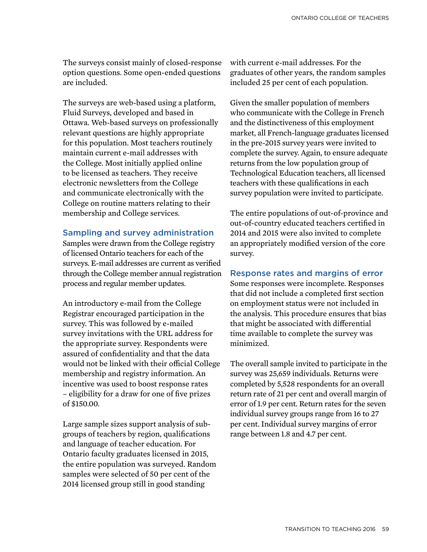The surveys consist mainly of closed-response option questions. Some open-ended questions are included.

The surveys are web-based using a platform, Fluid Surveys, developed and based in Ottawa. Web-based surveys on professionally relevant questions are highly appropriate for this population. Most teachers routinely maintain current e-mail addresses with the College. Most initially applied online to be licensed as teachers. They receive electronic newsletters from the College and communicate electronically with the College on routine matters relating to their membership and College services.

### Sampling and survey administration

Samples were drawn from the College registry of licensed Ontario teachers for each of the surveys. E-mail addresses are current as verified through the College member annual registration process and regular member updates.

An introductory e-mail from the College Registrar encouraged participation in the survey. This was followed by e-mailed survey invitations with the URL address for the appropriate survey. Respondents were assured of confidentiality and that the data would not be linked with their official College membership and registry information. An incentive was used to boost response rates – eligibility for a draw for one of five prizes of \$150.00.

Large sample sizes support analysis of subgroups of teachers by region, qualifications and language of teacher education. For Ontario faculty graduates licensed in 2015, the entire population was surveyed. Random samples were selected of 50 per cent of the 2014 licensed group still in good standing

with current e-mail addresses. For the graduates of other years, the random samples included 25 per cent of each population.

Given the smaller population of members who communicate with the College in French and the distinctiveness of this employment market, all French-language graduates licensed in the pre-2015 survey years were invited to complete the survey. Again, to ensure adequate returns from the low population group of Technological Education teachers, all licensed teachers with these qualifications in each survey population were invited to participate.

The entire populations of out-of-province and out-of-country educated teachers certified in 2014 and 2015 were also invited to complete an appropriately modified version of the core survey.

## Response rates and margins of error

Some responses were incomplete. Responses that did not include a completed first section on employment status were not included in the analysis. This procedure ensures that bias that might be associated with differential time available to complete the survey was minimized.

The overall sample invited to participate in the survey was 25,659 individuals. Returns were completed by 5,528 respondents for an overall return rate of 21 per cent and overall margin of error of 1.9 per cent. Return rates for the seven individual survey groups range from 16 to 27 per cent. Individual survey margins of error range between 1.8 and 4.7 per cent.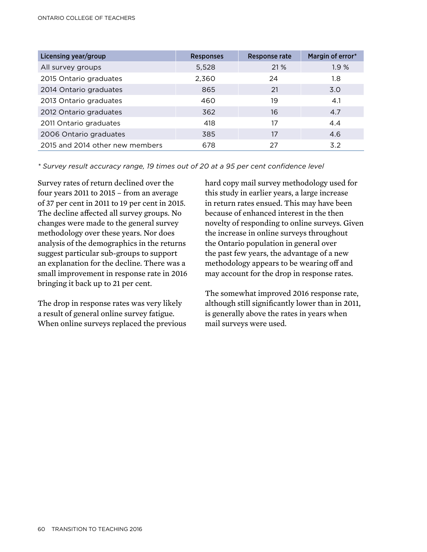| Licensing year/group            | <b>Responses</b> | <b>Response rate</b> | Margin of error* |
|---------------------------------|------------------|----------------------|------------------|
| All survey groups               | 5,528            | 21 %                 | 1.9%             |
| 2015 Ontario graduates          | 2,360            | 24                   | 1.8              |
| 2014 Ontario graduates          | 865              | 21                   | 3.0              |
| 2013 Ontario graduates          | 460              | 19                   | 4.1              |
| 2012 Ontario graduates          | 362              | 16                   | 4.7              |
| 2011 Ontario graduates          | 418              | 17                   | 4.4              |
| 2006 Ontario graduates          | 385              | 17                   | 4.6              |
| 2015 and 2014 other new members | 678              | 27                   | 3.2              |

*\* Survey result accuracy range, 19 times out of 20 at a 95 per cent confidence level*

Survey rates of return declined over the four years 2011 to 2015 – from an average of 37 per cent in 2011 to 19 per cent in 2015. The decline affected all survey groups. No changes were made to the general survey methodology over these years. Nor does analysis of the demographics in the returns suggest particular sub-groups to support an explanation for the decline. There was a small improvement in response rate in 2016 bringing it back up to 21 per cent.

The drop in response rates was very likely a result of general online survey fatigue. When online surveys replaced the previous

hard copy mail survey methodology used for this study in earlier years, a large increase in return rates ensued. This may have been because of enhanced interest in the then novelty of responding to online surveys. Given the increase in online surveys throughout the Ontario population in general over the past few years, the advantage of a new methodology appears to be wearing off and may account for the drop in response rates.

The somewhat improved 2016 response rate, although still significantly lower than in 2011, is generally above the rates in years when mail surveys were used.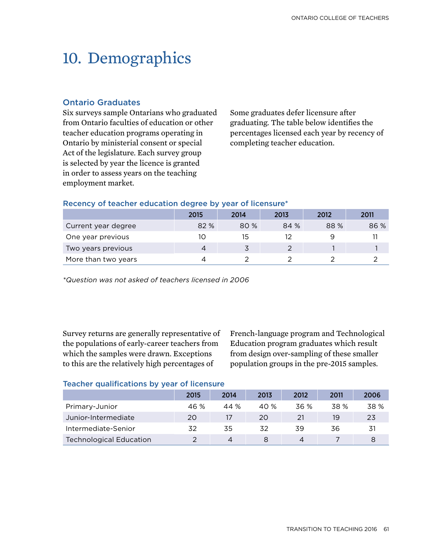## 10. Demographics

## Ontario Graduates

Six surveys sample Ontarians who graduated from Ontario faculties of education or other teacher education programs operating in Ontario by ministerial consent or special Act of the legislature. Each survey group is selected by year the licence is granted in order to assess years on the teaching employment market.

Some graduates defer licensure after graduating. The table below identifies the percentages licensed each year by recency of completing teacher education.

## Recency of teacher education degree by year of licensure\*

|                     | 2015 | 2014 | 2013 | 2012 | 2011 |
|---------------------|------|------|------|------|------|
| Current year degree | 82 % | 80 % | 84 % | 88 % | 86 % |
| One year previous   | 10   | 15   |      |      |      |
| Two years previous  | 4    |      |      |      |      |
| More than two years |      |      |      |      |      |

*\*Question was not asked of teachers licensed in 2006*

Survey returns are generally representative of the populations of early-career teachers from which the samples were drawn. Exceptions to this are the relatively high percentages of

French-language program and Technological Education program graduates which result from design over-sampling of these smaller population groups in the pre-2015 samples.

## Teacher qualifications by year of licensure

|                                | 2015 | 2014 | 2013 | 2012 | 2011 | 2006 |
|--------------------------------|------|------|------|------|------|------|
| Primary-Junior                 | 46 % | 44 % | 40 % | 36 % | 38 % | 38 % |
| Junior-Intermediate            | 20   | 17   | 20   | 21   | 19   | 23   |
| Intermediate-Senior            | 32   | 35   | 32   | 39   | 36   | 31   |
| <b>Technological Education</b> |      | 4    |      | 4    |      |      |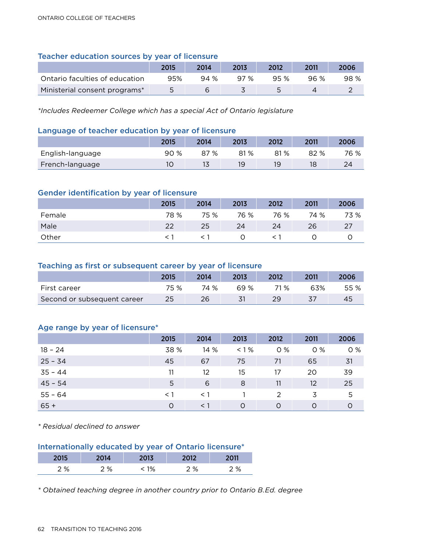#### Teacher education sources by year of licensure

|                                | 2015 | 2014 | 2013 | 2012 | 2011 | 2006 |
|--------------------------------|------|------|------|------|------|------|
| Ontario faculties of education | 95%  | 94 % | 97%  | 95 % | 96 % | 98 % |
| Ministerial consent programs*  |      |      |      |      |      |      |

*\*Includes Redeemer College which has a special Act of Ontario legislature*

#### Language of teacher education by year of licensure

|                  | 2015 | 2014 | 2013 | 2012 | 2011 | 2006 |
|------------------|------|------|------|------|------|------|
| English-language | 90 % | 87 % | 81 % | 81 % | 82 % | 76 % |
| French-language  | 1C   |      | 10   | 19   | 18   | 24   |

#### Gender identification by year of licensure

|        | 2015 | 2014 | 2013 | 2012 | 2011 | 2006 |
|--------|------|------|------|------|------|------|
| Female | 78 % | 75 % | 76 % | 76 % | 74 % | 73 % |
| Male   | 22   | 25   | 24   | 24   | 26   |      |
| Other  |      |      |      |      |      |      |

### Teaching as first or subsequent career by year of licensure

|                             | 2015 | 2014 | 2013 | 2012 | 2011 | 2006 |
|-----------------------------|------|------|------|------|------|------|
| First career                | 75 % | 74 % | 69 % | 71 % | 63%  | 55 % |
| Second or subsequent career | 25   |      |      |      |      |      |

## Age range by year of licensure\*

|           | 2015     | 2014     | 2013     | 2012          | 2011     | 2006     |
|-----------|----------|----------|----------|---------------|----------|----------|
| $18 - 24$ | 38 %     | 14 %     | < 1%     | 0 %           | 0 %      | 0 %      |
| $25 - 34$ | 45       | 67       | 75       | 71            | 65       | 31       |
| $35 - 44$ | 11       | 12       | 15       | 17            | 20       | 39       |
| $45 - 54$ | 5        | 6        | 8        | 11            | 12       | 25       |
| $55 - 64$ | $<$ 1    | $\leq 1$ |          | $\mathcal{P}$ | 3        | 5        |
| $65 +$    | $\Omega$ | $\leq$ 1 | $\Omega$ | $\circ$       | $\Omega$ | $\Omega$ |

*\* Residual declined to answer*

| Internationally educated by year of Ontario licensure* |      |         |      |      |
|--------------------------------------------------------|------|---------|------|------|
| 2015                                                   | 2014 | 2013    | 2012 | 2011 |
| 2 %                                                    | 2 %  | $< 1\%$ | 2 %  | 2 %  |

*\* Obtained teaching degree in another country prior to Ontario B.Ed. degree*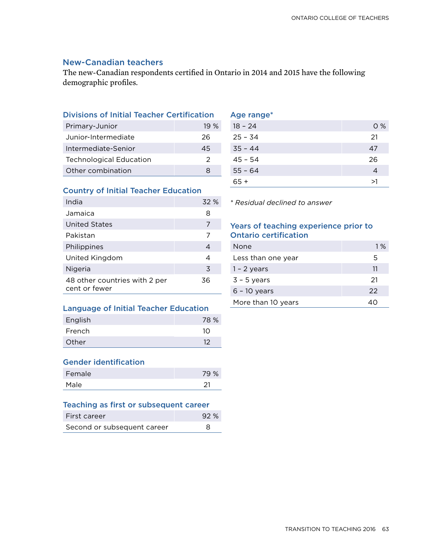## New-Canadian teachers

The new-Canadian respondents certified in Ontario in 2014 and 2015 have the following demographic profiles.

Age range\*

## Divisions of Initial Teacher Certification

| Primary-Junior                 | 19% |
|--------------------------------|-----|
| Junior-Intermediate            | 26  |
| Intermediate-Senior            | 45  |
| <b>Technological Education</b> | 2   |
| Other combination              | 8   |

#### Country of Initial Teacher Education

| India                                          | 32 %           |
|------------------------------------------------|----------------|
| Jamaica                                        | 8              |
| <b>United States</b>                           | 7              |
| Pakistan                                       |                |
| Philippines                                    | 4              |
| United Kingdom                                 | $\overline{4}$ |
| Nigeria                                        | 3              |
| 48 other countries with 2 per<br>cent or fewer | 36             |

#### Language of Initial Teacher Education

| English | 78 %            |
|---------|-----------------|
| French  | 10 <sup>2</sup> |
| Other   | 12              |

## Gender identification

| Female | 79 % |
|--------|------|
| Male   |      |

#### Teaching as first or subsequent career

| First career                | 92% |
|-----------------------------|-----|
| Second or subsequent career |     |

*\* Residual declined to answer*

### Years of teaching experience prior to Ontario certification

18 – 24 0 % 25 – 34 21  $35 - 44$  47 45 – 54 26  $55 - 64$  4  $65 +$   $>1$ 

| None               | $1\%$ |
|--------------------|-------|
| Less than one year | 5     |
| $1 - 2$ years      | 11    |
| $3 - 5$ years      | 21    |
| $6 - 10$ years     | 22    |
| More than 10 years | 40    |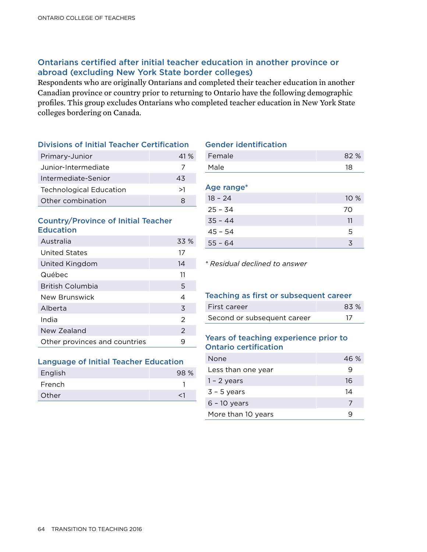## Ontarians certified after initial teacher education in another province or abroad (excluding New York State border colleges)

Respondents who are originally Ontarians and completed their teacher education in another Canadian province or country prior to returning to Ontario have the following demographic profiles. This group excludes Ontarians who completed teacher education in New York State colleges bordering on Canada.

#### Divisions of Initial Teacher Certification

| Primary-Junior                 | 41 % |
|--------------------------------|------|
| Junior-Intermediate            | 7    |
| Intermediate-Senior            | 43   |
| <b>Technological Education</b> | >1   |
| Other combination              | R    |

#### Country/Province of Initial Teacher **Education**

| Australia                     | 33 %          |
|-------------------------------|---------------|
| <b>United States</b>          | 17            |
| United Kingdom                | 14            |
| Québec                        | 11            |
| <b>British Columbia</b>       | 5             |
| New Brunswick                 | 4             |
| Alberta                       | 3             |
| India                         | $\mathcal{P}$ |
| New Zealand                   | 2             |
| Other provinces and countries | 9             |

#### Language of Initial Teacher Education

| English | 98 % |
|---------|------|
| French  |      |
| Other   |      |

#### Gender identification

| Female | 82% |
|--------|-----|
| Male   | 18  |

#### Age range\*

| $18 - 24$ | $10\%$ |
|-----------|--------|
| $25 - 34$ | 70     |
| $35 - 44$ | 11     |
| $45 - 54$ | 5      |
| $55 - 64$ |        |

*\* Residual declined to answer*

## Teaching as first or subsequent career

| First career                | 83 % |
|-----------------------------|------|
| Second or subsequent career | -17  |

### Years of teaching experience prior to Ontario certification

| None               | 46 % |
|--------------------|------|
| Less than one year | 9    |
| $1 - 2$ years      | 16   |
| $3 - 5$ years      | 14   |
| $6 - 10$ years     |      |
| More than 10 years |      |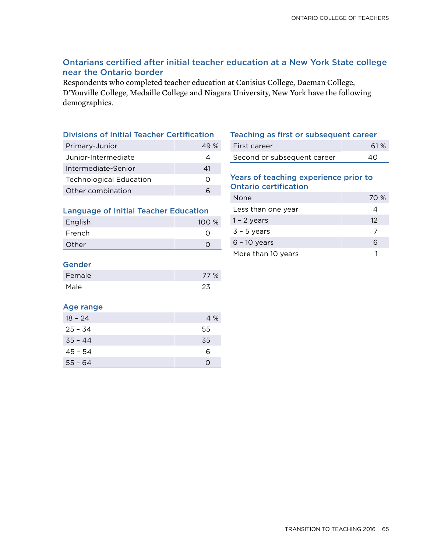## Ontarians certified after initial teacher education at a New York State college near the Ontario border

Respondents who completed teacher education at Canisius College, Daeman College, D'Youville College, Medaille College and Niagara University, New York have the following demographics.

## Divisions of Initial Teacher Certification

| Primary-Junior                 | 49 % |
|--------------------------------|------|
| Junior-Intermediate            |      |
| Intermediate-Senior            | 41   |
| <b>Technological Education</b> | 0    |
| Other combination              |      |

### Language of Initial Teacher Education

| English | 100 % |
|---------|-------|
| French  |       |
| Other   |       |

#### Teaching as first or subsequent career

| First career                | 61 % |
|-----------------------------|------|
| Second or subsequent career | 40   |

## Years of teaching experience prior to Ontario certification

| None               | 70 % |
|--------------------|------|
| Less than one year | 4    |
| $1 - 2$ years      | 12   |
| $3 - 5$ years      |      |
| $6 - 10$ years     | 6    |
| More than 10 years |      |

## Gender

| Female | 77 % |
|--------|------|
| Male   |      |
|        |      |

## Age range

| $18 - 24$ | 4 %    |
|-----------|--------|
| $25 - 34$ | 55     |
| $35 - 44$ | 35     |
| $45 - 54$ | 6      |
| $55 - 64$ | $\cap$ |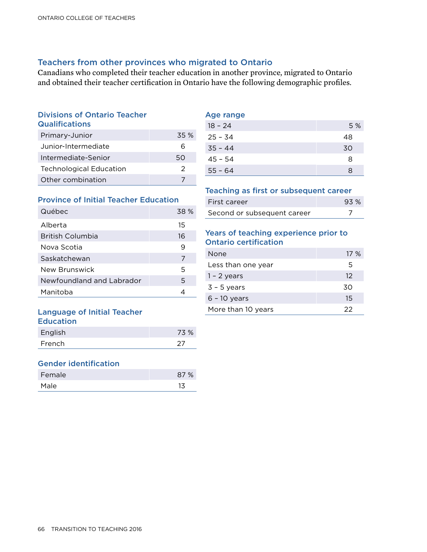## Teachers from other provinces who migrated to Ontario

Canadians who completed their teacher education in another province, migrated to Ontario and obtained their teacher certification in Ontario have the following demographic profiles.

#### Divisions of Ontario Teacher Qualifications

| Qualifications                 |      |
|--------------------------------|------|
| Primary-Junior                 | 35 % |
| Junior-Intermediate            | 6    |
| Intermediate-Senior            | 50   |
| <b>Technological Education</b> | 2    |
| Other combination              |      |

## Age range

| $18 - 24$ | 5 % |
|-----------|-----|
| $25 - 34$ | 48  |
| $35 - 44$ | 30  |
| $45 - 54$ | 8   |
| $55 - 64$ | 8   |

## Province of Initial Teacher Education

| Québec                    | 38 % |
|---------------------------|------|
| Alberta                   | 15   |
| <b>British Columbia</b>   | 16   |
| Nova Scotia               | 9    |
| Saskatchewan              | 7    |
| New Brunswick             | 5    |
| Newfoundland and Labrador | 5    |
| Manitoba                  |      |

#### Teaching as first or subsequent career

| First career                | 93% |
|-----------------------------|-----|
| Second or subsequent career |     |

## Years of teaching experience prior to Ontario certification

| None               | $17\%$ |
|--------------------|--------|
| Less than one year | 5      |
| $1 - 2$ years      | 12     |
| $3 - 5$ years      | 30     |
| $6 - 10$ years     | 15     |
| More than 10 years | 22     |

#### Language of Initial Teacher **Education**

| ________ |      |
|----------|------|
| English  | 73 % |
| French   | 27   |

#### Gender identification

| Female | 87 % |
|--------|------|
| Male   |      |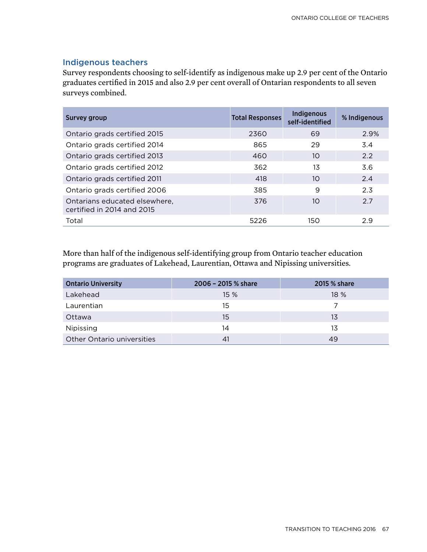#### Indigenous teachers

Survey respondents choosing to self-identify as indigenous make up 2.9 per cent of the Ontario graduates certified in 2015 and also 2.9 per cent overall of Ontarian respondents to all seven surveys combined.

| Survey group                                                | <b>Total Responses</b> | Indigenous<br>self-identified | % Indigenous |
|-------------------------------------------------------------|------------------------|-------------------------------|--------------|
| Ontario grads certified 2015                                | 2360                   | 69                            | 2.9%         |
| Ontario grads certified 2014                                | 865                    | 29                            | 3.4          |
| Ontario grads certified 2013                                | 460                    | 10                            | 2.2          |
| Ontario grads certified 2012                                | 362                    | 13                            | 3.6          |
| Ontario grads certified 2011                                | 418                    | 10 <sup>2</sup>               | 2.4          |
| Ontario grads certified 2006                                | 385                    | 9                             | 2.3          |
| Ontarians educated elsewhere,<br>certified in 2014 and 2015 | 376                    | 10 <sup>2</sup>               | 2.7          |
| Total                                                       | 5226                   | 150                           | 2.9          |

More than half of the indigenous self-identifying group from Ontario teacher education programs are graduates of Lakehead, Laurentian, Ottawa and Nipissing universities.

| <b>Ontario University</b>         | 2006 - 2015 % share | 2015 % share |
|-----------------------------------|---------------------|--------------|
| Lakehead                          | $15\%$              | $18\%$       |
| Laurentian                        | 15                  |              |
| Ottawa                            | 15                  | 13           |
| Nipissing                         | 14                  | 13           |
| <b>Other Ontario universities</b> | 41                  | 49           |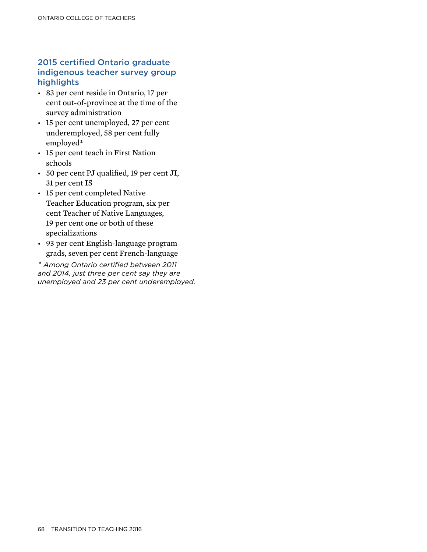## 2015 certified Ontario graduate indigenous teacher survey group highlights

- 83 per cent reside in Ontario, 17 per cent out-of-province at the time of the survey administration
- 15 per cent unemployed, 27 per cent underemployed, 58 per cent fully employed\*
- 15 per cent teach in First Nation schools
- 50 per cent PJ qualified, 19 per cent JI, 31 per cent IS
- 15 per cent completed Native Teacher Education program, six per cent Teacher of Native Languages, 19 per cent one or both of these specializations
- 93 per cent English-language program grads, seven per cent French-language

*\* Among Ontario certified between 2011 and 2014, just three per cent say they are unemployed and 23 per cent underemployed.*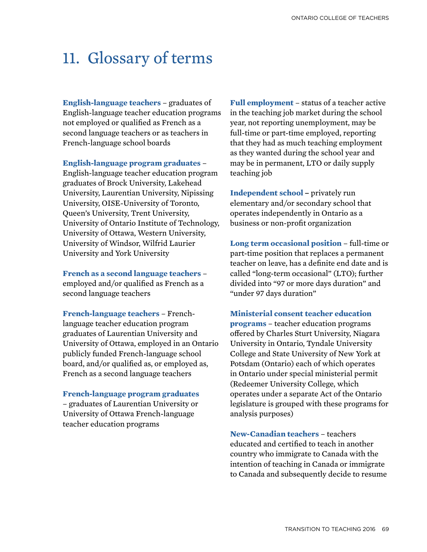## 11. Glossary of terms

**English-language teachers** – graduates of English-language teacher education programs not employed or qualified as French as a second language teachers or as teachers in French-language school boards

**English-language program graduates** – English-language teacher education program graduates of Brock University, Lakehead University, Laurentian University, Nipissing University, OISE-University of Toronto, Queen's University, Trent University, University of Ontario Institute of Technology, University of Ottawa, Western University, University of Windsor, Wilfrid Laurier University and York University

**French as a second language teachers** – employed and/or qualified as French as a second language teachers

**French-language teachers** – Frenchlanguage teacher education program graduates of Laurentian University and University of Ottawa, employed in an Ontario publicly funded French-language school board, and/or qualified as, or employed as, French as a second language teachers

**French-language program graduates**

– graduates of Laurentian University or University of Ottawa French-language teacher education programs

**Full employment** – status of a teacher active in the teaching job market during the school year, not reporting unemployment, may be full-time or part-time employed, reporting that they had as much teaching employment as they wanted during the school year and may be in permanent, LTO or daily supply teaching job

**Independent school –** privately run elementary and/or secondary school that operates independently in Ontario as a business or non-profit organization

**Long term occasional position** – full-time or part-time position that replaces a permanent teacher on leave, has a definite end date and is called "long-term occasional" (LTO); further divided into "97 or more days duration" and "under 97 days duration"

**Ministerial consent teacher education programs** – teacher education programs offered by Charles Sturt University, Niagara University in Ontario, Tyndale University College and State University of New York at Potsdam (Ontario) each of which operates in Ontario under special ministerial permit (Redeemer University College, which operates under a separate Act of the Ontario legislature is grouped with these programs for analysis purposes)

**New-Canadian teachers** – teachers educated and certified to teach in another country who immigrate to Canada with the intention of teaching in Canada or immigrate to Canada and subsequently decide to resume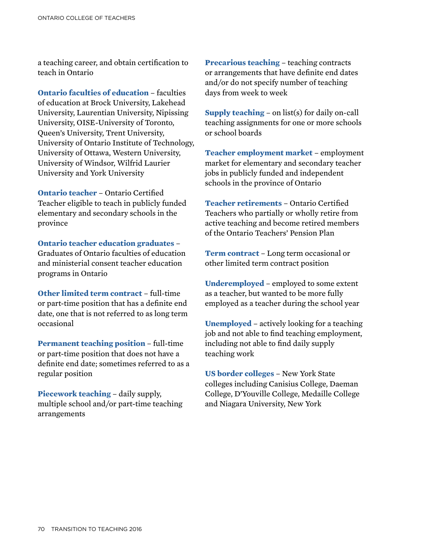a teaching career, and obtain certification to teach in Ontario

**Ontario faculties of education** – faculties of education at Brock University, Lakehead University, Laurentian University, Nipissing University, OISE-University of Toronto, Queen's University, Trent University, University of Ontario Institute of Technology, University of Ottawa, Western University, University of Windsor, Wilfrid Laurier University and York University

**Ontario teacher** – Ontario Certified Teacher eligible to teach in publicly funded elementary and secondary schools in the province

**Ontario teacher education graduates** – Graduates of Ontario faculties of education and ministerial consent teacher education programs in Ontario

**Other limited term contract** – full-time or part-time position that has a definite end date, one that is not referred to as long term occasional

**Permanent teaching position** – full-time or part-time position that does not have a definite end date; sometimes referred to as a regular position

**Piecework teaching** – daily supply, multiple school and/or part-time teaching arrangements

**Precarious teaching** – teaching contracts or arrangements that have definite end dates and/or do not specify number of teaching days from week to week

**Supply teaching** – on list(s) for daily on-call teaching assignments for one or more schools or school boards

**Teacher employment market** – employment market for elementary and secondary teacher jobs in publicly funded and independent schools in the province of Ontario

**Teacher retirements** – Ontario Certified Teachers who partially or wholly retire from active teaching and become retired members of the Ontario Teachers' Pension Plan

**Term contract** – Long term occasional or other limited term contract position

**Underemployed** – employed to some extent as a teacher, but wanted to be more fully employed as a teacher during the school year

**Unemployed** – actively looking for a teaching job and not able to find teaching employment, including not able to find daily supply teaching work

**US border colleges** – New York State colleges including Canisius College, Daeman College, D'Youville College, Medaille College and Niagara University, New York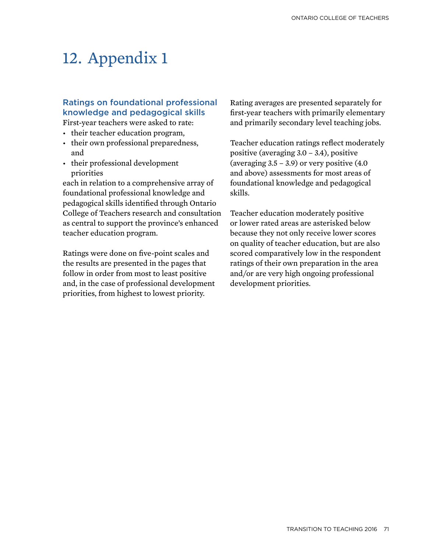# 12. Appendix 1

## Ratings on foundational professional knowledge and pedagogical skills

First-year teachers were asked to rate:

- their teacher education program,
- their own professional preparedness, and
- their professional development priorities

each in relation to a comprehensive array of foundational professional knowledge and pedagogical skills identified through Ontario College of Teachers research and consultation as central to support the province's enhanced teacher education program.

Ratings were done on five-point scales and the results are presented in the pages that follow in order from most to least positive and, in the case of professional development priorities, from highest to lowest priority.

Rating averages are presented separately for first-year teachers with primarily elementary and primarily secondary level teaching jobs.

Teacher education ratings reflect moderately positive (averaging 3.0 – 3.4), positive (averaging  $3.5 - 3.9$ ) or very positive  $(4.0)$ and above) assessments for most areas of foundational knowledge and pedagogical skills.

Teacher education moderately positive or lower rated areas are asterisked below because they not only receive lower scores on quality of teacher education, but are also scored comparatively low in the respondent ratings of their own preparation in the area and/or are very high ongoing professional development priorities.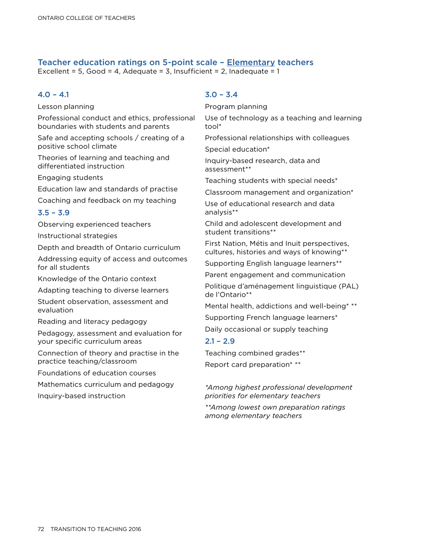## Teacher education ratings on 5-point scale – Elementary teachers

Excellent = 5, Good = 4, Adequate = 3, Insufficient = 2, Inadequate =  $1$ 

## $4.0 - 4.1$

Lesson planning

Professional conduct and ethics, professional boundaries with students and parents

Safe and accepting schools / creating of a positive school climate

Theories of learning and teaching and differentiated instruction

Engaging students

Education law and standards of practise

Coaching and feedback on my teaching

#### $3.5 - 3.9$

Observing experienced teachers

Instructional strategies

Depth and breadth of Ontario curriculum

Addressing equity of access and outcomes for all students

Knowledge of the Ontario context

Adapting teaching to diverse learners

Student observation, assessment and evaluation

Reading and literacy pedagogy

Pedagogy, assessment and evaluation for your specific curriculum areas

Connection of theory and practise in the practice teaching/classroom

Foundations of education courses

Mathematics curriculum and pedagogy

Inquiry-based instruction

## $3.0 - 3.4$

Program planning

Use of technology as a teaching and learning tool\*

Professional relationships with colleagues

Special education\*

Inquiry-based research, data and assessment\*\*

Teaching students with special needs\*

Classroom management and organization\*

Use of educational research and data analysis\*\*

Child and adolescent development and student transitions\*\*

First Nation, Métis and Inuit perspectives, cultures, histories and ways of knowing\*\*

Supporting English language learners\*\*

Parent engagement and communication

Politique d'aménagement linguistique (PAL) de l'Ontario\*\*

Mental health, addictions and well-being\* \*\*

Supporting French language learners\*

Daily occasional or supply teaching

### $2.1 - 2.9$

Teaching combined grades\*\*

Report card preparation\* \*\*

*\*Among highest professional development priorities for elementary teachers*

*\*\*Among lowest own preparation ratings among elementary teachers*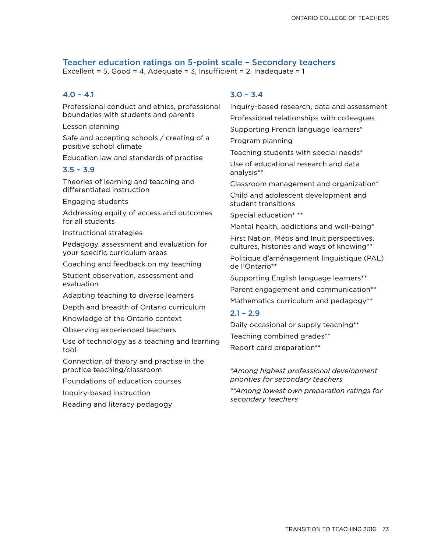## Teacher education ratings on 5-point scale – Secondary teachers

Excellent = 5, Good = 4, Adequate = 3, Insufficient = 2, Inadequate =  $1$ 

## $4.0 - 4.1$

Professional conduct and ethics, professional boundaries with students and parents

Lesson planning

Safe and accepting schools / creating of a positive school climate

Education law and standards of practise

#### $3.5 - 3.9$

Theories of learning and teaching and differentiated instruction

Engaging students

Addressing equity of access and outcomes for all students

Instructional strategies

Pedagogy, assessment and evaluation for your specific curriculum areas

Coaching and feedback on my teaching

Student observation, assessment and evaluation

Adapting teaching to diverse learners

Depth and breadth of Ontario curriculum

Knowledge of the Ontario context

Observing experienced teachers

Use of technology as a teaching and learning tool

Connection of theory and practise in the practice teaching/classroom

Foundations of education courses

Inquiry-based instruction

Reading and literacy pedagogy

## $30 - 34$

Inquiry-based research, data and assessment Professional relationships with colleagues Supporting French language learners\*

Program planning

Teaching students with special needs\*

Use of educational research and data analysis\*\*

Classroom management and organization\*

Child and adolescent development and student transitions

Special education\* \*\*

Mental health, addictions and well-being\*

First Nation, Métis and Inuit perspectives, cultures, histories and ways of knowing\*\*

Politique d'aménagement linguistique (PAL) de l'Ontario\*\*

Supporting English language learners\*\*

Parent engagement and communication\*\*

Mathematics curriculum and pedagogy\*\*

### $2.1 - 2.9$

Daily occasional or supply teaching\*\* Teaching combined grades\*\* Report card preparation\*\*

*\*Among highest professional development priorities for secondary teachers*

*\*\*Among lowest own preparation ratings for secondary teachers*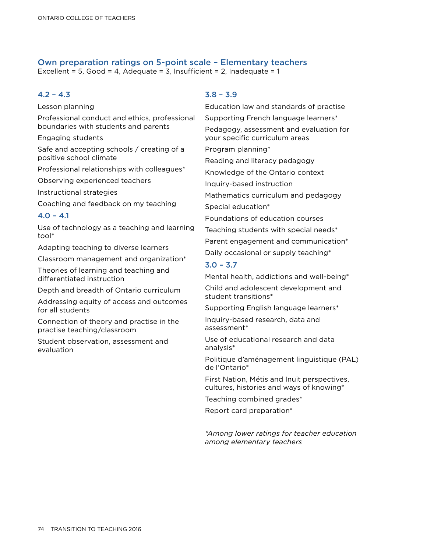## Own preparation ratings on 5-point scale – Elementary teachers

Excellent = 5, Good = 4, Adequate = 3, Insufficient = 2, Inadequate =  $1$ 

## $4.2 - 4.3$

Lesson planning

Professional conduct and ethics, professional boundaries with students and parents

Engaging students

Safe and accepting schools / creating of a positive school climate

Professional relationships with colleagues\*

Observing experienced teachers

Instructional strategies

Coaching and feedback on my teaching

#### $4.0 - 4.1$

Use of technology as a teaching and learning tool\*

Adapting teaching to diverse learners

Classroom management and organization\*

Theories of learning and teaching and differentiated instruction

Depth and breadth of Ontario curriculum

Addressing equity of access and outcomes for all students

Connection of theory and practise in the practise teaching/classroom

Student observation, assessment and evaluation

#### $3.8 - 3.9$

Education law and standards of practise Supporting French language learners\* Pedagogy, assessment and evaluation for your specific curriculum areas Program planning\* Reading and literacy pedagogy Knowledge of the Ontario context Inquiry-based instruction Mathematics curriculum and pedagogy Special education\* Foundations of education courses Teaching students with special needs\* Parent engagement and communication\* Daily occasional or supply teaching\*

## 3.0 – 3.7

Mental health, addictions and well-being\*

Child and adolescent development and student transitions\*

Supporting English language learners\*

Inquiry-based research, data and assessment\*

Use of educational research and data analysis\*

Politique d'aménagement linguistique (PAL) de l'Ontario\*

First Nation, Métis and Inuit perspectives, cultures, histories and ways of knowing\*

Teaching combined grades\*

Report card preparation\*

*\*Among lower ratings for teacher education among elementary teachers*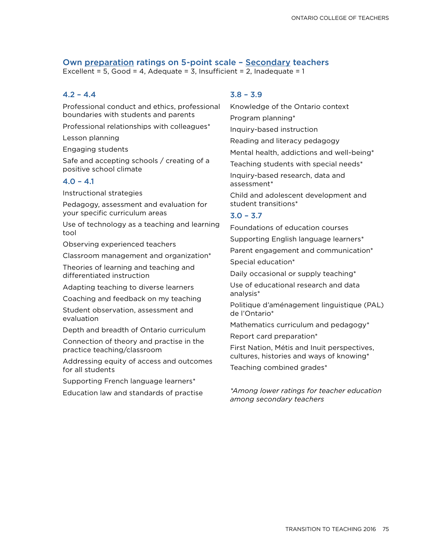## Own preparation ratings on 5-point scale – Secondary teachers

Excellent = 5, Good = 4, Adequate = 3, Insufficient = 2, Inadequate =  $1$ 

## $4.2 - 4.4$

Professional conduct and ethics, professional boundaries with students and parents

Professional relationships with colleagues\*

Lesson planning

Engaging students

Safe and accepting schools / creating of a positive school climate

#### $4.0 - 4.1$

Instructional strategies

Pedagogy, assessment and evaluation for your specific curriculum areas

Use of technology as a teaching and learning tool

Observing experienced teachers

Classroom management and organization\*

Theories of learning and teaching and differentiated instruction

Adapting teaching to diverse learners

Coaching and feedback on my teaching

Student observation, assessment and evaluation

Depth and breadth of Ontario curriculum

Connection of theory and practise in the practice teaching/classroom

Addressing equity of access and outcomes for all students

Supporting French language learners\*

Education law and standards of practise

#### 3.8 – 3.9

Knowledge of the Ontario context Program planning\* Inquiry-based instruction

Reading and literacy pedagogy

Mental health, addictions and well-being\*

Teaching students with special needs\*

Inquiry-based research, data and assessment\*

Child and adolescent development and student transitions\*

### $3.0 - 3.7$

Foundations of education courses

Supporting English language learners\*

Parent engagement and communication\*

Special education\*

Daily occasional or supply teaching\*

Use of educational research and data analysis\*

Politique d'aménagement linguistique (PAL) de l'Ontario\*

Mathematics curriculum and pedagogy\*

Report card preparation\*

First Nation, Métis and Inuit perspectives, cultures, histories and ways of knowing\*

Teaching combined grades\*

*\*Among lower ratings for teacher education among secondary teachers*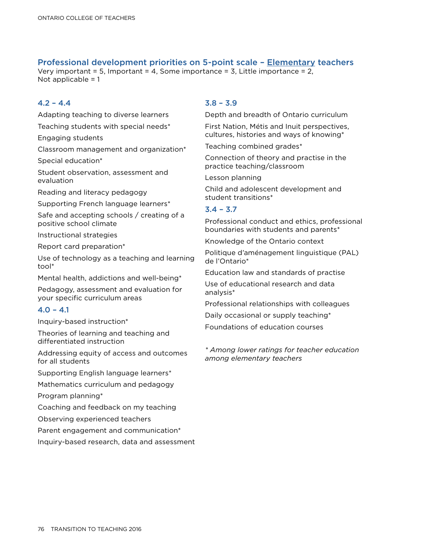### Professional development priorities on 5-point scale – Elementary teachers

Very important = 5, Important = 4, Some importance = 3, Little importance = 2, Not applicable = 1

## $4.2 - 4.4$

Adapting teaching to diverse learners

Teaching students with special needs\*

Engaging students

Classroom management and organization\*

Special education\*

Student observation, assessment and evaluation

Reading and literacy pedagogy

Supporting French language learners\*

Safe and accepting schools / creating of a positive school climate

Instructional strategies

Report card preparation\*

Use of technology as a teaching and learning tool\*

Mental health, addictions and well-being\*

Pedagogy, assessment and evaluation for your specific curriculum areas

#### $4.0 - 4.1$

Inquiry-based instruction\*

Theories of learning and teaching and differentiated instruction

Addressing equity of access and outcomes for all students

Supporting English language learners\*

Mathematics curriculum and pedagogy

Program planning\*

Coaching and feedback on my teaching

Observing experienced teachers

Parent engagement and communication\*

Inquiry-based research, data and assessment

#### 3.8 – 3.9

Depth and breadth of Ontario curriculum

First Nation, Métis and Inuit perspectives, cultures, histories and ways of knowing\*

Teaching combined grades\*

Connection of theory and practise in the practice teaching/classroom

Lesson planning

Child and adolescent development and student transitions\*

#### $3.4 - 3.7$

Professional conduct and ethics, professional boundaries with students and parents\*

Knowledge of the Ontario context

Politique d'aménagement linguistique (PAL) de l'Ontario\*

Education law and standards of practise

Use of educational research and data analysis\*

Professional relationships with colleagues

Daily occasional or supply teaching\*

Foundations of education courses

*\* Among lower ratings for teacher education among elementary teachers*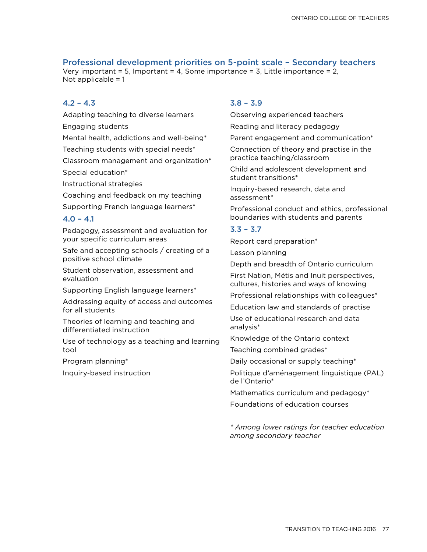## Professional development priorities on 5-point scale – Secondary teachers

Very important = 5, Important = 4, Some importance = 3, Little importance = 2, Not applicable = 1

#### $4.2 - 4.3$

Adapting teaching to diverse learners

Engaging students

Mental health, addictions and well-being\*

Teaching students with special needs\*

Classroom management and organization\*

Special education\*

Instructional strategies

Coaching and feedback on my teaching

Supporting French language learners\*

#### $4.0 - 4.1$

Pedagogy, assessment and evaluation for your specific curriculum areas

Safe and accepting schools / creating of a positive school climate

Student observation, assessment and evaluation

Supporting English language learners\*

Addressing equity of access and outcomes for all students

Theories of learning and teaching and differentiated instruction

Use of technology as a teaching and learning tool

Program planning\*

Inquiry-based instruction

### 3.8 – 3.9

Observing experienced teachers

Reading and literacy pedagogy

Parent engagement and communication\*

Connection of theory and practise in the practice teaching/classroom

Child and adolescent development and student transitions\*

Inquiry-based research, data and assessment\*

Professional conduct and ethics, professional boundaries with students and parents

## $3.3 - 3.7$

Report card preparation\*

Lesson planning

Depth and breadth of Ontario curriculum

First Nation, Métis and Inuit perspectives, cultures, histories and ways of knowing

Professional relationships with colleagues\*

Education law and standards of practise

Use of educational research and data analysis\*

Knowledge of the Ontario context

Teaching combined grades\*

Daily occasional or supply teaching\*

Politique d'aménagement linguistique (PAL) de l'Ontario\*

Mathematics curriculum and pedagogy\*

Foundations of education courses

*\* Among lower ratings for teacher education among secondary teacher*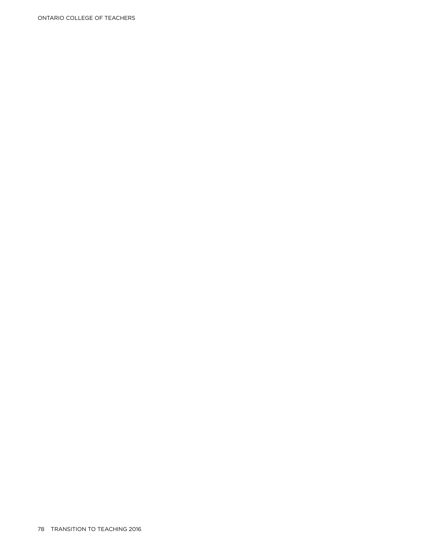ONTARIO COLLEGE OF TEACHERS